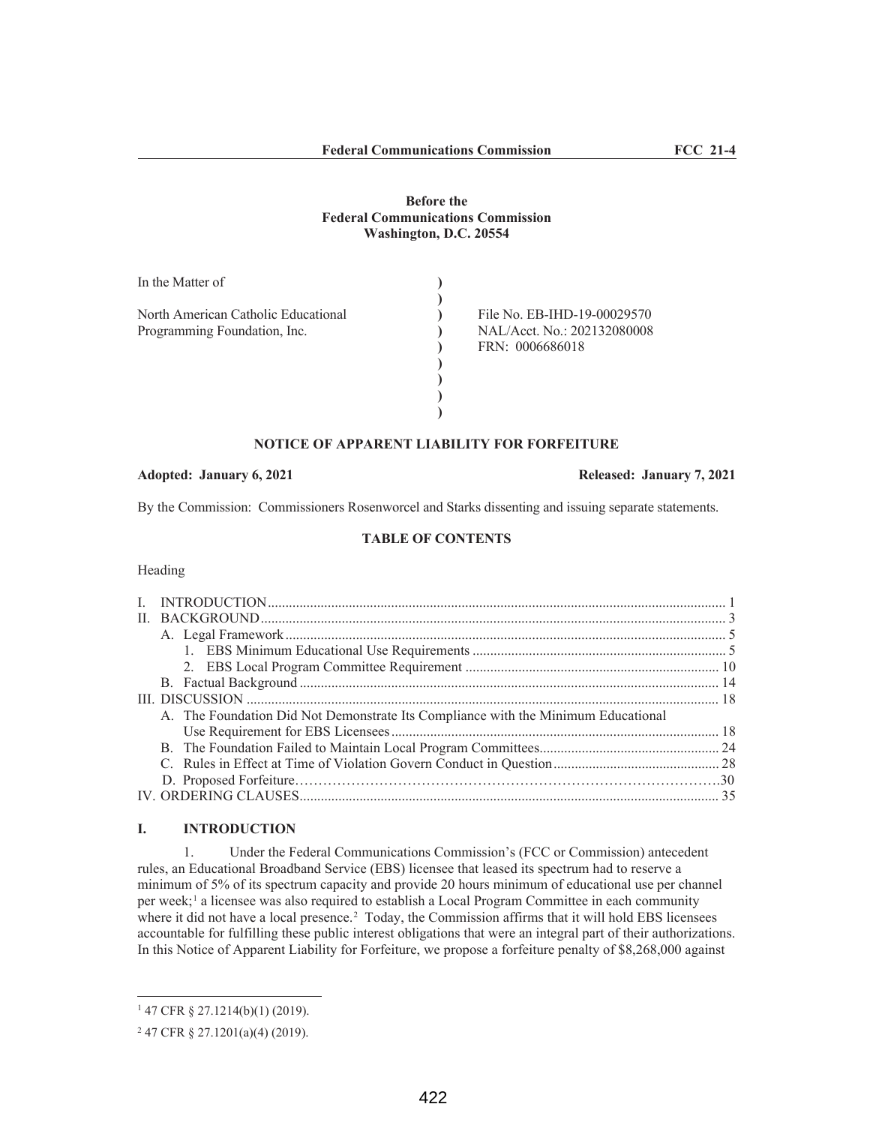## **Before the Federal Communications Commission Washington, D.C. 20554**

| In the Matter of                    |                             |
|-------------------------------------|-----------------------------|
|                                     |                             |
| North American Catholic Educational | File No. EB-IHD-19-00029570 |
| Programming Foundation, Inc.        | NAL/Acct. No.: 202132080008 |
|                                     | FRN: 0006686018             |
|                                     |                             |
|                                     |                             |
|                                     |                             |
|                                     |                             |

### **NOTICE OF APPARENT LIABILITY FOR FORFEITURE**

#### **Adopted: January 6, 2021 Released: January 7, 2021**

By the Commission: Commissioners Rosenworcel and Starks dissenting and issuing separate statements.

# **TABLE OF CONTENTS**

Heading

| A. The Foundation Did Not Demonstrate Its Compliance with the Minimum Educational |  |
|-----------------------------------------------------------------------------------|--|
|                                                                                   |  |
|                                                                                   |  |
|                                                                                   |  |
|                                                                                   |  |
|                                                                                   |  |

### **I. INTRODUCTION**

1. Under the Federal Communications Commission's (FCC or Commission) antecedent rules, an Educational Broadband Service (EBS) licensee that leased its spectrum had to reserve a minimum of 5% of its spectrum capacity and provide 20 hours minimum of educational use per channel per week;<sup>1</sup> a licensee was also required to establish a Local Program Committee in each community where it did not have a local presence.<sup>2</sup> Today, the Commission affirms that it will hold EBS licensees accountable for fulfilling these public interest obligations that were an integral part of their authorizations. In this Notice of Apparent Liability for Forfeiture, we propose a forfeiture penalty of \$8,268,000 against

<sup>1</sup> 47 CFR § 27.1214(b)(1) (2019).

<sup>2</sup> 47 CFR § 27.1201(a)(4) (2019).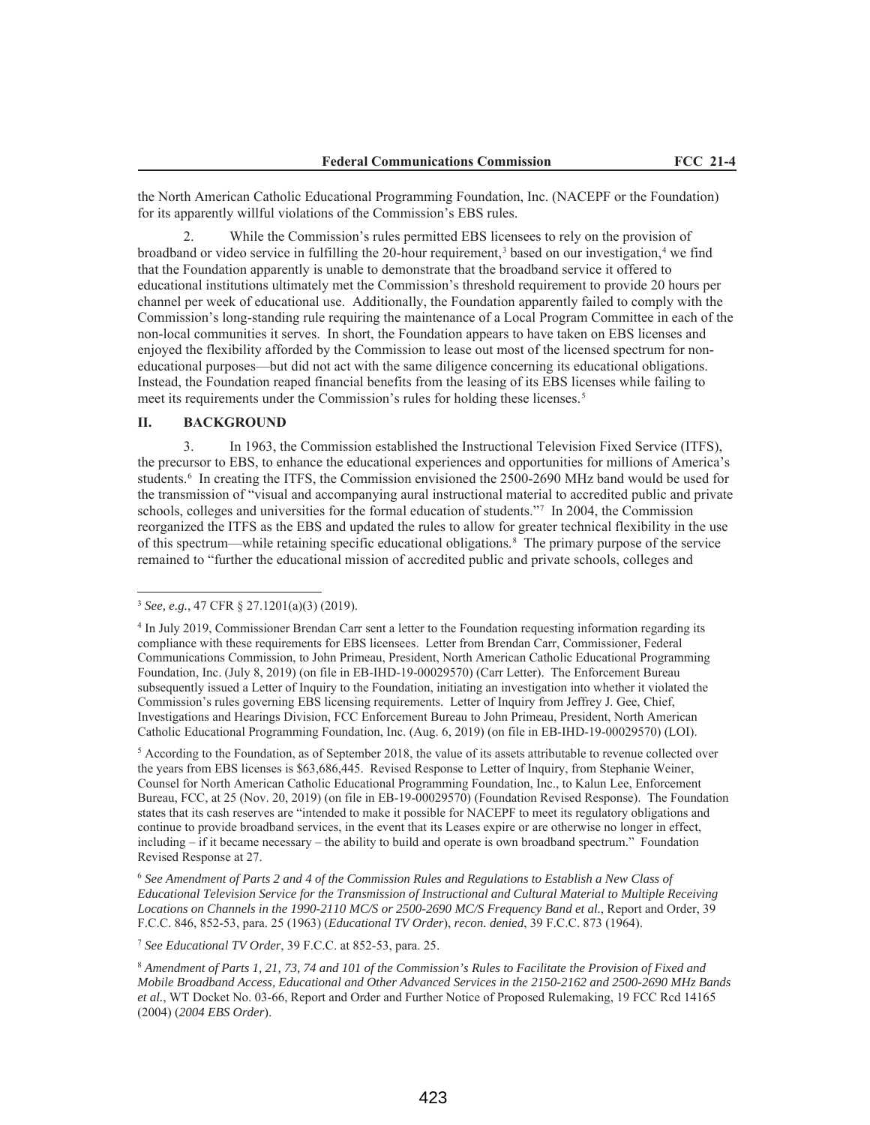the North American Catholic Educational Programming Foundation, Inc. (NACEPF or the Foundation) for its apparently willful violations of the Commission's EBS rules.

While the Commission's rules permitted EBS licensees to rely on the provision of broadband or video service in fulfilling the 20-hour requirement,<sup>3</sup> based on our investigation,<sup>4</sup> we find that the Foundation apparently is unable to demonstrate that the broadband service it offered to educational institutions ultimately met the Commission's threshold requirement to provide 20 hours per channel per week of educational use. Additionally, the Foundation apparently failed to comply with the Commission's long-standing rule requiring the maintenance of a Local Program Committee in each of the non-local communities it serves. In short, the Foundation appears to have taken on EBS licenses and enjoyed the flexibility afforded by the Commission to lease out most of the licensed spectrum for noneducational purposes—but did not act with the same diligence concerning its educational obligations. Instead, the Foundation reaped financial benefits from the leasing of its EBS licenses while failing to meet its requirements under the Commission's rules for holding these licenses.5

### **II. BACKGROUND**

3. In 1963, the Commission established the Instructional Television Fixed Service (ITFS), the precursor to EBS, to enhance the educational experiences and opportunities for millions of America's students.<sup>6</sup> In creating the ITFS, the Commission envisioned the 2500-2690 MHz band would be used for the transmission of "visual and accompanying aural instructional material to accredited public and private schools, colleges and universities for the formal education of students."7 In 2004, the Commission reorganized the ITFS as the EBS and updated the rules to allow for greater technical flexibility in the use of this spectrum—while retaining specific educational obligations.8 The primary purpose of the service remained to "further the educational mission of accredited public and private schools, colleges and

<sup>5</sup> According to the Foundation, as of September 2018, the value of its assets attributable to revenue collected over the years from EBS licenses is \$63,686,445. Revised Response to Letter of Inquiry, from Stephanie Weiner, Counsel for North American Catholic Educational Programming Foundation, Inc., to Kalun Lee, Enforcement Bureau, FCC, at 25 (Nov. 20, 2019) (on file in EB-19-00029570) (Foundation Revised Response). The Foundation states that its cash reserves are "intended to make it possible for NACEPF to meet its regulatory obligations and continue to provide broadband services, in the event that its Leases expire or are otherwise no longer in effect, including – if it became necessary – the ability to build and operate is own broadband spectrum." Foundation Revised Response at 27.

<sup>6</sup> *See Amendment of Parts 2 and 4 of the Commission Rules and Regulations to Establish a New Class of Educational Television Service for the Transmission of Instructional and Cultural Material to Multiple Receiving Locations on Channels in the 1990-2110 MC/S or 2500-2690 MC/S Frequency Band et al.*, Report and Order, 39 F.C.C. 846, 852-53, para. 25 (1963) (*Educational TV Order*), *recon. denied*, 39 F.C.C. 873 (1964).

<sup>7</sup> *See Educational TV Order*, 39 F.C.C. at 852-53, para. 25.

<sup>8</sup> *Amendment of Parts 1, 21, 73, 74 and 101 of the Commission's Rules to Facilitate the Provision of Fixed and Mobile Broadband Access, Educational and Other Advanced Services in the 2150-2162 and 2500-2690 MHz Bands et al.*, WT Docket No. 03-66, Report and Order and Further Notice of Proposed Rulemaking, 19 FCC Rcd 14165 (2004) (*2004 EBS Order*).

<sup>3</sup> *See, e.g.*, 47 CFR § 27.1201(a)(3) (2019).

<sup>4</sup> In July 2019, Commissioner Brendan Carr sent a letter to the Foundation requesting information regarding its compliance with these requirements for EBS licensees. Letter from Brendan Carr, Commissioner, Federal Communications Commission, to John Primeau, President, North American Catholic Educational Programming Foundation, Inc. (July 8, 2019) (on file in EB-IHD-19-00029570) (Carr Letter). The Enforcement Bureau subsequently issued a Letter of Inquiry to the Foundation, initiating an investigation into whether it violated the Commission's rules governing EBS licensing requirements. Letter of Inquiry from Jeffrey J. Gee, Chief, Investigations and Hearings Division, FCC Enforcement Bureau to John Primeau, President, North American Catholic Educational Programming Foundation, Inc. (Aug. 6, 2019) (on file in EB-IHD-19-00029570) (LOI).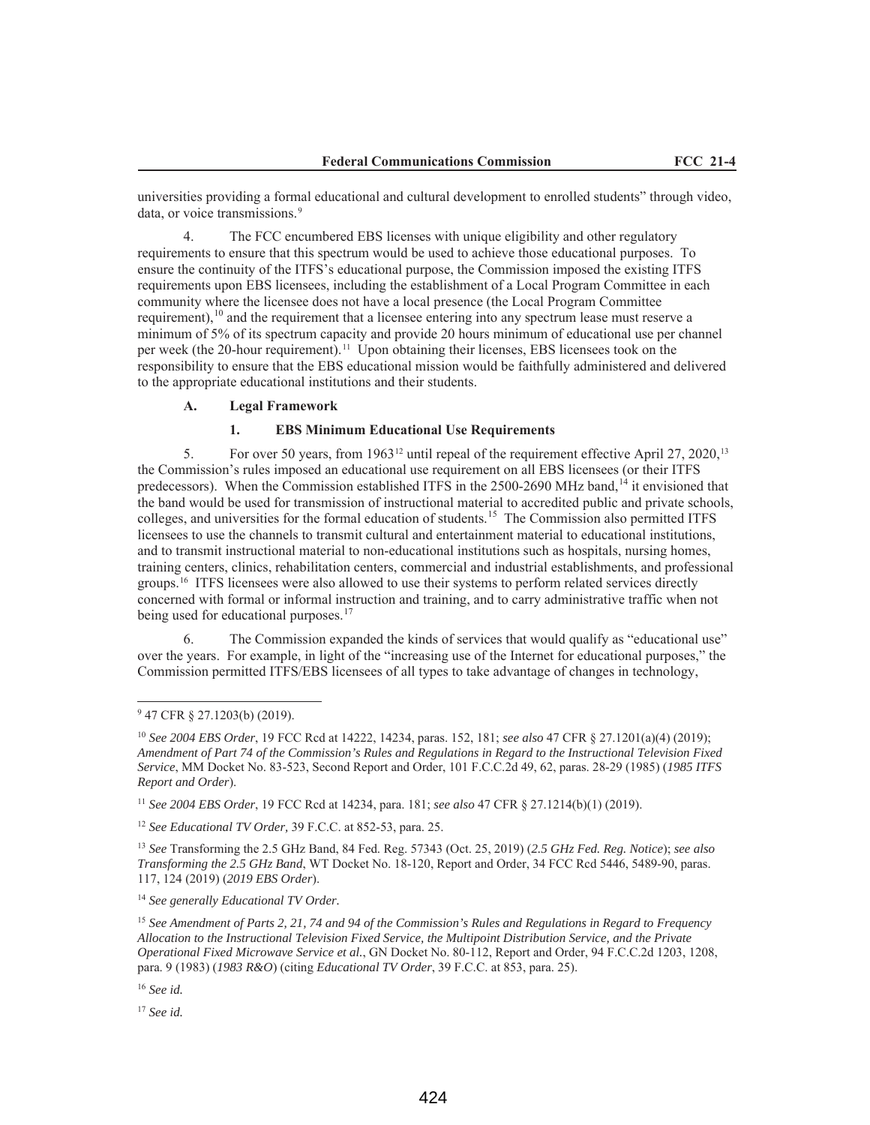universities providing a formal educational and cultural development to enrolled students" through video, data, or voice transmissions.<sup>9</sup>

The FCC encumbered EBS licenses with unique eligibility and other regulatory requirements to ensure that this spectrum would be used to achieve those educational purposes. To ensure the continuity of the ITFS's educational purpose, the Commission imposed the existing ITFS requirements upon EBS licensees, including the establishment of a Local Program Committee in each community where the licensee does not have a local presence (the Local Program Committee requirement), $10$  and the requirement that a licensee entering into any spectrum lease must reserve a minimum of 5% of its spectrum capacity and provide 20 hours minimum of educational use per channel per week (the 20-hour requirement).11 Upon obtaining their licenses, EBS licensees took on the responsibility to ensure that the EBS educational mission would be faithfully administered and delivered to the appropriate educational institutions and their students.

### **A. Legal Framework**

## **1. EBS Minimum Educational Use Requirements**

5. For over 50 years, from 1963<sup>12</sup> until repeal of the requirement effective April 27, 2020,<sup>13</sup> the Commission's rules imposed an educational use requirement on all EBS licensees (or their ITFS predecessors). When the Commission established ITFS in the  $2500-2690$  MHz band,<sup>14</sup> it envisioned that the band would be used for transmission of instructional material to accredited public and private schools, colleges, and universities for the formal education of students. <sup>15</sup> The Commission also permitted ITFS licensees to use the channels to transmit cultural and entertainment material to educational institutions, and to transmit instructional material to non-educational institutions such as hospitals, nursing homes, training centers, clinics, rehabilitation centers, commercial and industrial establishments, and professional groups.16 ITFS licensees were also allowed to use their systems to perform related services directly concerned with formal or informal instruction and training, and to carry administrative traffic when not being used for educational purposes.<sup>17</sup>

6. The Commission expanded the kinds of services that would qualify as "educational use" over the years. For example, in light of the "increasing use of the Internet for educational purposes," the Commission permitted ITFS/EBS licensees of all types to take advantage of changes in technology,

<sup>11</sup> *See 2004 EBS Order*, 19 FCC Rcd at 14234, para. 181; *see also* 47 CFR § 27.1214(b)(1) (2019).

<sup>12</sup> *See Educational TV Order,* 39 F.C.C. at 852-53, para. 25.

<sup>13</sup> *See* Transforming the 2.5 GHz Band, 84 Fed. Reg. 57343 (Oct. 25, 2019) (*2.5 GHz Fed. Reg. Notice*); *see also Transforming the 2.5 GHz Band*, WT Docket No. 18-120, Report and Order, 34 FCC Rcd 5446, 5489-90, paras. 117, 124 (2019) (*2019 EBS Order*).

<sup>14</sup> *See generally Educational TV Order.*

<sup>15</sup> *See Amendment of Parts 2, 21, 74 and 94 of the Commission's Rules and Regulations in Regard to Frequency Allocation to the Instructional Television Fixed Service, the Multipoint Distribution Service, and the Private Operational Fixed Microwave Service et al.*, GN Docket No. 80-112, Report and Order, 94 F.C.C.2d 1203, 1208, para. 9 (1983) (*1983 R&O*) (citing *Educational TV Order*, 39 F.C.C. at 853, para. 25).

<sup>16</sup> *See id.*

<sup>17</sup> *See id.* 

<sup>9</sup> 47 CFR § 27.1203(b) (2019).

<sup>10</sup> *See 2004 EBS Order*, 19 FCC Rcd at 14222, 14234, paras. 152, 181; *see also* 47 CFR § 27.1201(a)(4) (2019); *Amendment of Part 74 of the Commission's Rules and Regulations in Regard to the Instructional Television Fixed Service*, MM Docket No. 83-523, Second Report and Order, 101 F.C.C.2d 49, 62, paras. 28-29 (1985) (*1985 ITFS Report and Order*).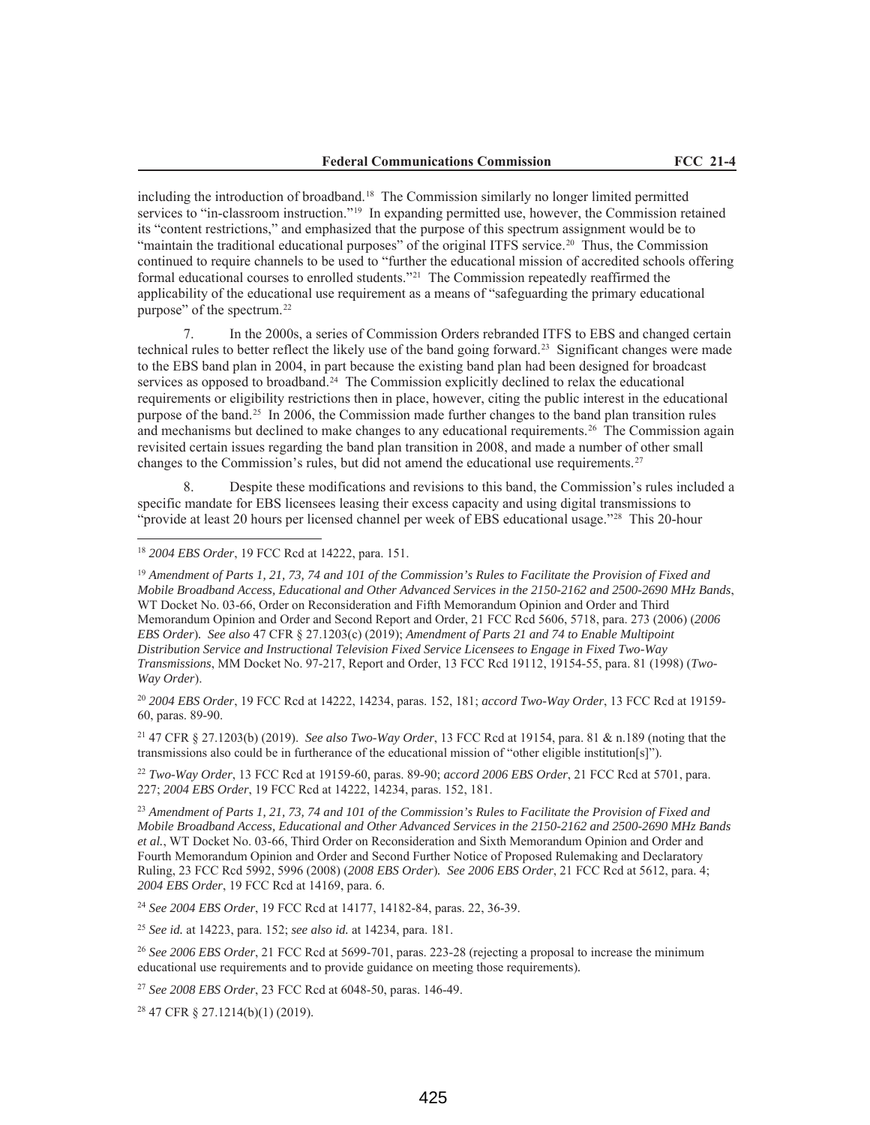including the introduction of broadband.18 The Commission similarly no longer limited permitted services to "in-classroom instruction."19 In expanding permitted use, however, the Commission retained its "content restrictions," and emphasized that the purpose of this spectrum assignment would be to "maintain the traditional educational purposes" of the original ITFS service.<sup>20</sup> Thus, the Commission continued to require channels to be used to "further the educational mission of accredited schools offering formal educational courses to enrolled students."21 The Commission repeatedly reaffirmed the applicability of the educational use requirement as a means of "safeguarding the primary educational purpose" of the spectrum.22

7. In the 2000s, a series of Commission Orders rebranded ITFS to EBS and changed certain technical rules to better reflect the likely use of the band going forward.23 Significant changes were made to the EBS band plan in 2004, in part because the existing band plan had been designed for broadcast services as opposed to broadband.<sup>24</sup> The Commission explicitly declined to relax the educational requirements or eligibility restrictions then in place, however, citing the public interest in the educational purpose of the band.25 In 2006, the Commission made further changes to the band plan transition rules and mechanisms but declined to make changes to any educational requirements.26 The Commission again revisited certain issues regarding the band plan transition in 2008, and made a number of other small changes to the Commission's rules, but did not amend the educational use requirements.<sup>27</sup>

Despite these modifications and revisions to this band, the Commission's rules included a specific mandate for EBS licensees leasing their excess capacity and using digital transmissions to "provide at least 20 hours per licensed channel per week of EBS educational usage."28 This 20-hour

### <sup>18</sup> *2004 EBS Order*, 19 FCC Rcd at 14222, para. 151.

<sup>19</sup> *Amendment of Parts 1, 21, 73, 74 and 101 of the Commission's Rules to Facilitate the Provision of Fixed and Mobile Broadband Access, Educational and Other Advanced Services in the 2150-2162 and 2500-2690 MHz Bands*, WT Docket No. 03-66, Order on Reconsideration and Fifth Memorandum Opinion and Order and Third Memorandum Opinion and Order and Second Report and Order, 21 FCC Rcd 5606, 5718, para. 273 (2006) (*2006 EBS Order*)*. See also* 47 CFR § 27.1203(c) (2019); *Amendment of Parts 21 and 74 to Enable Multipoint Distribution Service and Instructional Television Fixed Service Licensees to Engage in Fixed Two-Way Transmissions*, MM Docket No. 97-217, Report and Order, 13 FCC Rcd 19112, 19154-55, para. 81 (1998) (*Two-Way Order*).

<sup>20</sup> *2004 EBS Order*, 19 FCC Rcd at 14222, 14234, paras. 152, 181; *accord Two-Way Order*, 13 FCC Rcd at 19159- 60, paras. 89-90.

<sup>21</sup> 47 CFR § 27.1203(b) (2019). *See also Two-Way Order*, 13 FCC Rcd at 19154, para. 81 & n.189 (noting that the transmissions also could be in furtherance of the educational mission of "other eligible institution[s]").

<sup>22</sup> *Two-Way Order*, 13 FCC Rcd at 19159-60, paras. 89-90; *accord 2006 EBS Order*, 21 FCC Rcd at 5701, para. 227; *2004 EBS Order*, 19 FCC Rcd at 14222, 14234, paras. 152, 181.

<sup>23</sup> *Amendment of Parts 1, 21, 73, 74 and 101 of the Commission's Rules to Facilitate the Provision of Fixed and Mobile Broadband Access, Educational and Other Advanced Services in the 2150-2162 and 2500-2690 MHz Bands et al.*, WT Docket No. 03-66, Third Order on Reconsideration and Sixth Memorandum Opinion and Order and Fourth Memorandum Opinion and Order and Second Further Notice of Proposed Rulemaking and Declaratory Ruling, 23 FCC Rcd 5992, 5996 (2008) (*2008 EBS Order*)*. See 2006 EBS Order*, 21 FCC Rcd at 5612, para. 4; *2004 EBS Order*, 19 FCC Rcd at 14169, para. 6.

<sup>24</sup> *See 2004 EBS Order*, 19 FCC Rcd at 14177, 14182-84, paras. 22, 36-39.

<sup>25</sup> *See id.* at 14223, para. 152; *see also id.* at 14234, para. 181.

<sup>26</sup> See 2006 EBS Order, 21 FCC Rcd at 5699-701, paras. 223-28 (rejecting a proposal to increase the minimum educational use requirements and to provide guidance on meeting those requirements)*.*

<sup>27</sup> *See 2008 EBS Order*, 23 FCC Rcd at 6048-50, paras. 146-49.

<sup>28</sup> 47 CFR § 27.1214(b)(1) (2019).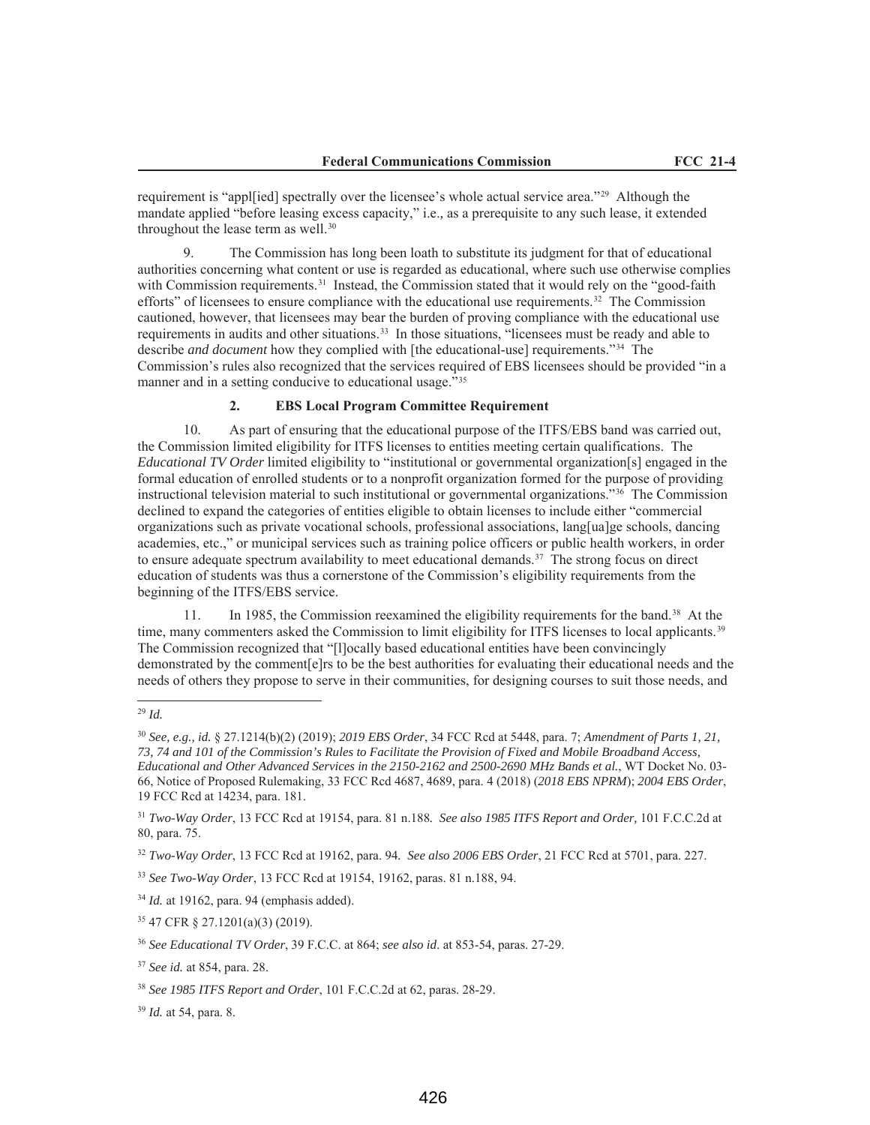requirement is "appl[ied] spectrally over the licensee's whole actual service area."29 Although the mandate applied "before leasing excess capacity," i.e.*,* as a prerequisite to any such lease, it extended throughout the lease term as well.<sup>30</sup>

9. The Commission has long been loath to substitute its judgment for that of educational authorities concerning what content or use is regarded as educational, where such use otherwise complies with Commission requirements.<sup>31</sup> Instead, the Commission stated that it would rely on the "good-faith" efforts" of licensees to ensure compliance with the educational use requirements.<sup>32</sup> The Commission cautioned, however, that licensees may bear the burden of proving compliance with the educational use requirements in audits and other situations.33 In those situations, "licensees must be ready and able to describe *and document* how they complied with [the educational-use] requirements."34 The Commission's rules also recognized that the services required of EBS licensees should be provided "in a manner and in a setting conducive to educational usage."35

## **2. EBS Local Program Committee Requirement**

10. As part of ensuring that the educational purpose of the ITFS/EBS band was carried out, the Commission limited eligibility for ITFS licenses to entities meeting certain qualifications. The *Educational TV Order* limited eligibility to "institutional or governmental organization[s] engaged in the formal education of enrolled students or to a nonprofit organization formed for the purpose of providing instructional television material to such institutional or governmental organizations."36 The Commission declined to expand the categories of entities eligible to obtain licenses to include either "commercial organizations such as private vocational schools, professional associations, lang[ua]ge schools, dancing academies, etc.," or municipal services such as training police officers or public health workers, in order to ensure adequate spectrum availability to meet educational demands.<sup>37</sup> The strong focus on direct education of students was thus a cornerstone of the Commission's eligibility requirements from the beginning of the ITFS/EBS service.

11. In 1985, the Commission reexamined the eligibility requirements for the band.38 At the time, many commenters asked the Commission to limit eligibility for ITFS licenses to local applicants.<sup>39</sup> The Commission recognized that "[l]ocally based educational entities have been convincingly demonstrated by the comment[e]rs to be the best authorities for evaluating their educational needs and the needs of others they propose to serve in their communities, for designing courses to suit those needs, and

## <sup>29</sup> *Id.*

<sup>30</sup> *See, e.g., id.* § 27.1214(b)(2) (2019); *2019 EBS Order*, 34 FCC Rcd at 5448, para. 7; *Amendment of Parts 1, 21, 73, 74 and 101 of the Commission's Rules to Facilitate the Provision of Fixed and Mobile Broadband Access, Educational and Other Advanced Services in the 2150-2162 and 2500-2690 MHz Bands et al.*, WT Docket No. 03- 66, Notice of Proposed Rulemaking, 33 FCC Rcd 4687, 4689, para. 4 (2018) (*2018 EBS NPRM*); *2004 EBS Order*, 19 FCC Rcd at 14234, para. 181.

<sup>31</sup> *Two-Way Order*, 13 FCC Rcd at 19154, para. 81 n.188*. See also 1985 ITFS Report and Order,* 101 F.C.C.2d at 80, para. 75.

<sup>32</sup> *Two-Way Order*, 13 FCC Rcd at 19162, para. 94*. See also 2006 EBS Order*, 21 FCC Rcd at 5701, para. 227.

<sup>33</sup> *See Two-Way Order*, 13 FCC Rcd at 19154, 19162, paras. 81 n.188, 94.

<sup>34</sup> *Id.* at 19162, para. 94 (emphasis added).

<sup>35</sup> 47 CFR § 27.1201(a)(3) (2019).

<sup>36</sup> *See Educational TV Order*, 39 F.C.C. at 864; *see also id*. at 853-54, paras. 27-29.

<sup>37</sup> *See id.* at 854, para. 28.

<sup>38</sup> *See 1985 ITFS Report and Order*, 101 F.C.C.2d at 62, paras. 28-29.

<sup>39</sup> *Id.* at 54, para. 8.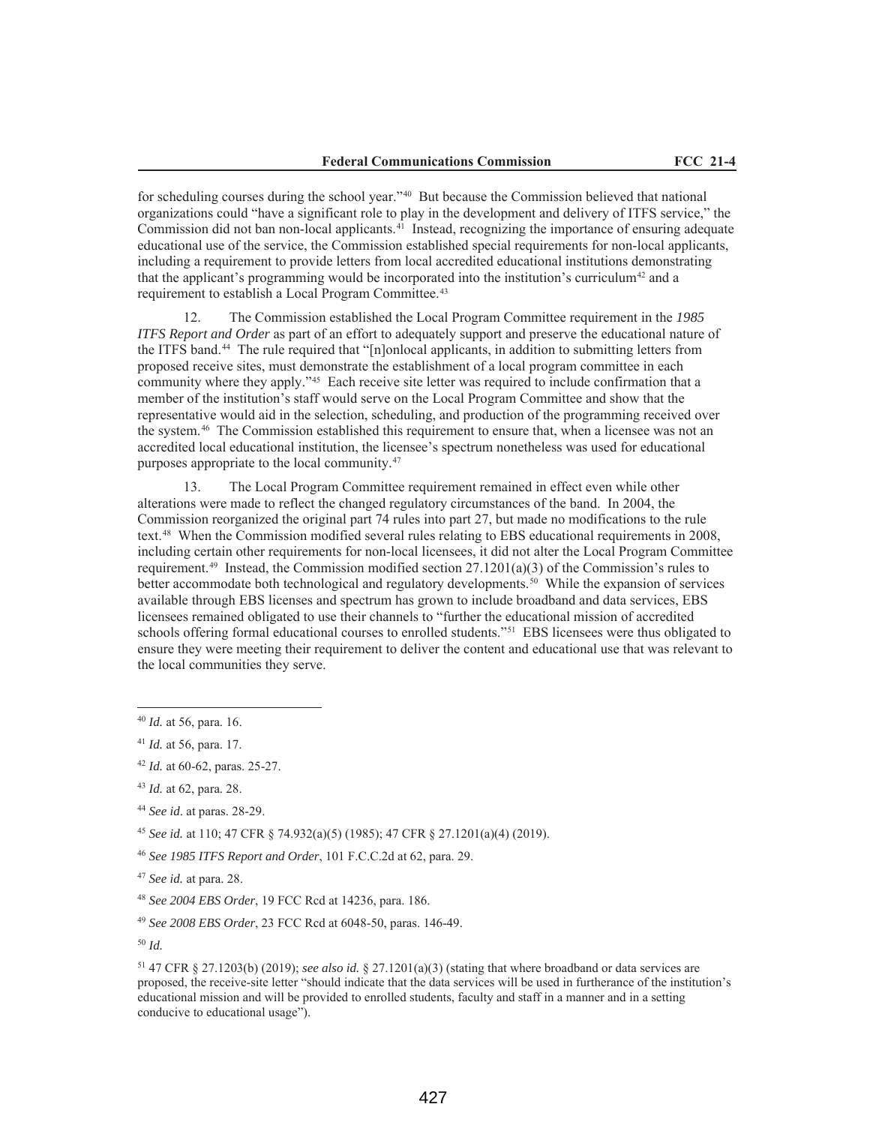for scheduling courses during the school year."40 But because the Commission believed that national organizations could "have a significant role to play in the development and delivery of ITFS service," the Commission did not ban non-local applicants. $4<sup>1</sup>$  Instead, recognizing the importance of ensuring adequate educational use of the service, the Commission established special requirements for non-local applicants, including a requirement to provide letters from local accredited educational institutions demonstrating that the applicant's programming would be incorporated into the institution's curriculum<sup>42</sup> and a requirement to establish a Local Program Committee.<sup>43</sup>

12. The Commission established the Local Program Committee requirement in the *1985 ITFS Report and Order* as part of an effort to adequately support and preserve the educational nature of the ITFS band.44 The rule required that "[n]onlocal applicants, in addition to submitting letters from proposed receive sites, must demonstrate the establishment of a local program committee in each community where they apply."45 Each receive site letter was required to include confirmation that a member of the institution's staff would serve on the Local Program Committee and show that the representative would aid in the selection, scheduling, and production of the programming received over the system.46 The Commission established this requirement to ensure that, when a licensee was not an accredited local educational institution, the licensee's spectrum nonetheless was used for educational purposes appropriate to the local community.47

13. The Local Program Committee requirement remained in effect even while other alterations were made to reflect the changed regulatory circumstances of the band. In 2004, the Commission reorganized the original part 74 rules into part 27, but made no modifications to the rule text.48 When the Commission modified several rules relating to EBS educational requirements in 2008, including certain other requirements for non-local licensees, it did not alter the Local Program Committee requirement.<sup>49</sup> Instead, the Commission modified section  $27.1201(a)(3)$  of the Commission's rules to better accommodate both technological and regulatory developments.<sup>50</sup> While the expansion of services available through EBS licenses and spectrum has grown to include broadband and data services, EBS licensees remained obligated to use their channels to "further the educational mission of accredited schools offering formal educational courses to enrolled students."<sup>51</sup> EBS licensees were thus obligated to ensure they were meeting their requirement to deliver the content and educational use that was relevant to the local communities they serve.

<sup>45</sup> *See id.* at 110; 47 CFR § 74.932(a)(5) (1985); 47 CFR § 27.1201(a)(4) (2019).

<sup>46</sup> *See 1985 ITFS Report and Order*, 101 F.C.C.2d at 62, para. 29.

<sup>49</sup> *See 2008 EBS Order*, 23 FCC Rcd at 6048-50, paras. 146-49.

<sup>40</sup> *Id.* at 56, para. 16.

<sup>41</sup> *Id.* at 56, para. 17.

<sup>42</sup> *Id.* at 60-62, paras. 25-27.

<sup>43</sup> *Id.* at 62, para. 28.

<sup>44</sup> *See id*. at paras. 28-29.

<sup>47</sup> *See id.* at para. 28.

<sup>48</sup> *See 2004 EBS Order*, 19 FCC Rcd at 14236, para. 186.

<sup>50</sup> *Id.*

<sup>51</sup> 47 CFR § 27.1203(b) (2019); *see also id.* § 27.1201(a)(3) (stating that where broadband or data services are proposed, the receive-site letter "should indicate that the data services will be used in furtherance of the institution's educational mission and will be provided to enrolled students, faculty and staff in a manner and in a setting conducive to educational usage").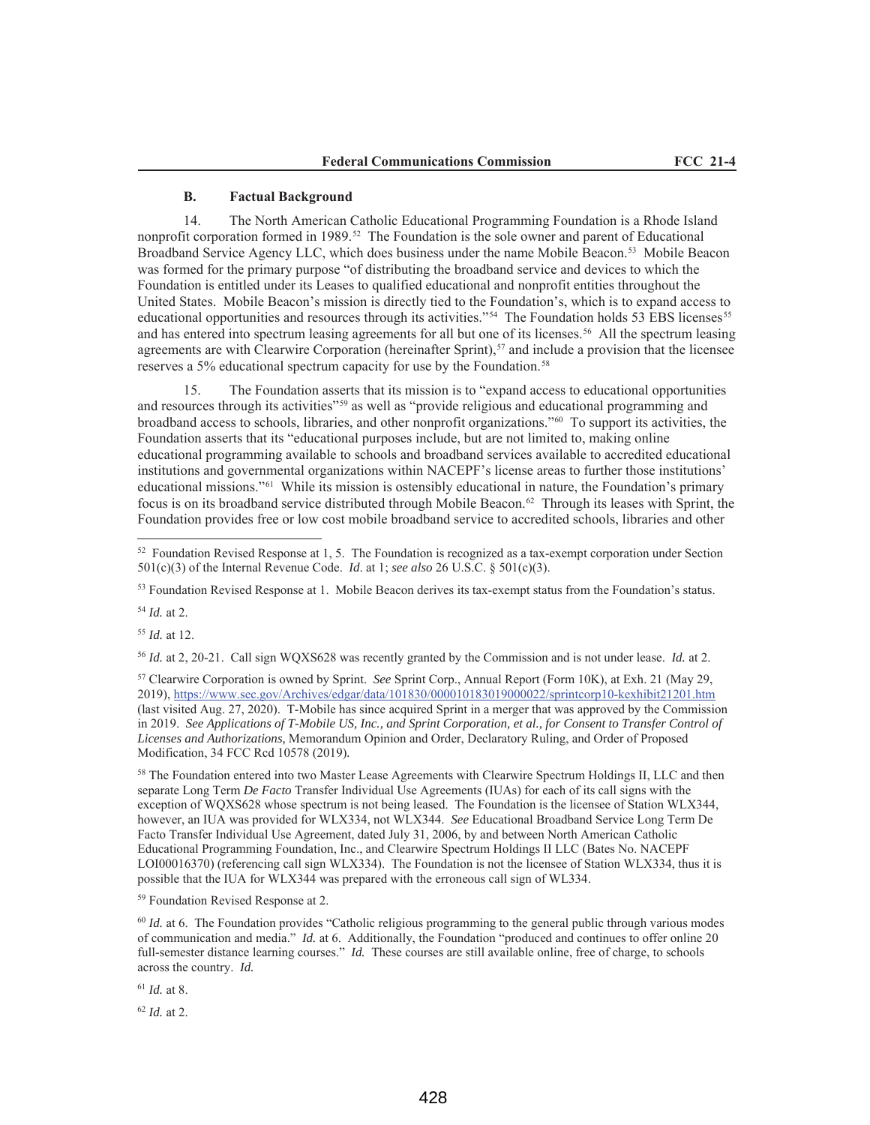### **B. Factual Background**

14. The North American Catholic Educational Programming Foundation is a Rhode Island nonprofit corporation formed in 1989.52 The Foundation is the sole owner and parent of Educational Broadband Service Agency LLC, which does business under the name Mobile Beacon.<sup>53</sup> Mobile Beacon was formed for the primary purpose "of distributing the broadband service and devices to which the Foundation is entitled under its Leases to qualified educational and nonprofit entities throughout the United States. Mobile Beacon's mission is directly tied to the Foundation's, which is to expand access to educational opportunities and resources through its activities."<sup>54</sup> The Foundation holds 53 EBS licenses<sup>55</sup> and has entered into spectrum leasing agreements for all but one of its licenses.56 All the spectrum leasing agreements are with Clearwire Corporation (hereinafter Sprint), $57$  and include a provision that the licensee reserves a 5% educational spectrum capacity for use by the Foundation.<sup>58</sup>

15. The Foundation asserts that its mission is to "expand access to educational opportunities and resources through its activities"<sup>59</sup> as well as "provide religious and educational programming and broadband access to schools, libraries, and other nonprofit organizations."60 To support its activities, the Foundation asserts that its "educational purposes include, but are not limited to, making online educational programming available to schools and broadband services available to accredited educational institutions and governmental organizations within NACEPF's license areas to further those institutions' educational missions."61 While its mission is ostensibly educational in nature, the Foundation's primary focus is on its broadband service distributed through Mobile Beacon.62 Through its leases with Sprint, the Foundation provides free or low cost mobile broadband service to accredited schools, libraries and other

<sup>54</sup> *Id.* at 2.

<sup>55</sup> *Id.* at 12.

<sup>56</sup> *Id.* at 2, 20-21. Call sign WQXS628 was recently granted by the Commission and is not under lease. *Id.* at 2.

<sup>57</sup> Clearwire Corporation is owned by Sprint. *See* Sprint Corp., Annual Report (Form 10K), at Exh. 21 (May 29, 2019), https://www.sec.gov/Archives/edgar/data/101830/000010183019000022/sprintcorp10-kexhibit21201.htm (last visited Aug. 27, 2020). T-Mobile has since acquired Sprint in a merger that was approved by the Commission in 2019. *See Applications of T-Mobile US, Inc., and Sprint Corporation, et al., for Consent to Transfer Control of Licenses and Authorizations,* Memorandum Opinion and Order, Declaratory Ruling, and Order of Proposed Modification, 34 FCC Rcd 10578 (2019)*.*

<sup>58</sup> The Foundation entered into two Master Lease Agreements with Clearwire Spectrum Holdings II, LLC and then separate Long Term *De Facto* Transfer Individual Use Agreements (IUAs) for each of its call signs with the exception of WQXS628 whose spectrum is not being leased. The Foundation is the licensee of Station WLX344, however, an IUA was provided for WLX334, not WLX344. *See* Educational Broadband Service Long Term De Facto Transfer Individual Use Agreement, dated July 31, 2006, by and between North American Catholic Educational Programming Foundation, Inc., and Clearwire Spectrum Holdings II LLC (Bates No. NACEPF LOI00016370) (referencing call sign WLX334). The Foundation is not the licensee of Station WLX334, thus it is possible that the IUA for WLX344 was prepared with the erroneous call sign of WL334.

<sup>59</sup> Foundation Revised Response at 2.

<sup>60</sup> *Id.* at 6. The Foundation provides "Catholic religious programming to the general public through various modes of communication and media." *Id.* at 6. Additionally, the Foundation "produced and continues to offer online 20 full-semester distance learning courses." *Id.* These courses are still available online, free of charge, to schools across the country. *Id.*

<sup>61</sup> *Id.* at 8.

<sup>62</sup> *Id.* at 2.

<sup>52</sup> Foundation Revised Response at 1, 5. The Foundation is recognized as a tax-exempt corporation under Section 501(c)(3) of the Internal Revenue Code. *Id*. at 1; *see also* 26 U.S.C. § 501(c)(3).

<sup>53</sup> Foundation Revised Response at 1. Mobile Beacon derives its tax-exempt status from the Foundation's status.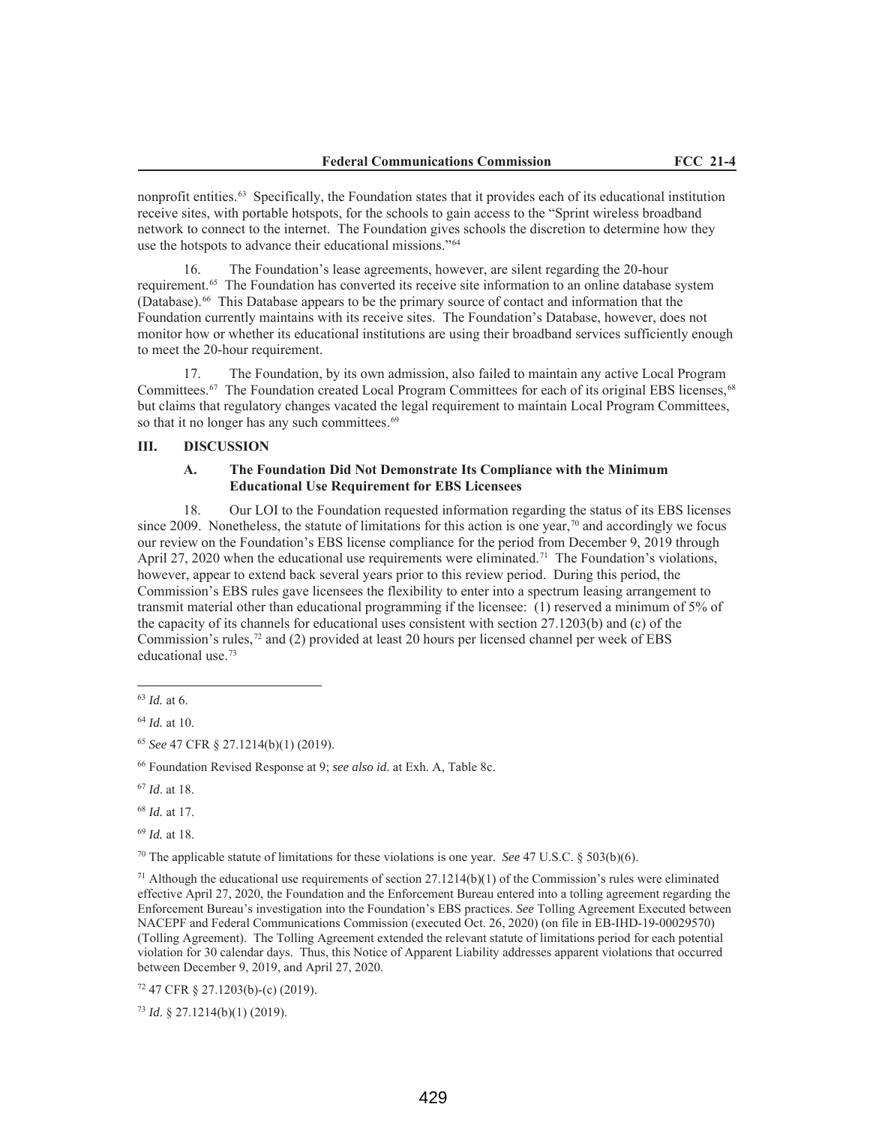nonprofit entities.63 Specifically, the Foundation states that it provides each of its educational institution receive sites, with portable hotspots, for the schools to gain access to the "Sprint wireless broadband network to connect to the internet. The Foundation gives schools the discretion to determine how they use the hotspots to advance their educational missions."64

16. The Foundation's lease agreements, however, are silent regarding the 20-hour requirement.65 The Foundation has converted its receive site information to an online database system (Database).66 This Database appears to be the primary source of contact and information that the Foundation currently maintains with its receive sites. The Foundation's Database, however, does not monitor how or whether its educational institutions are using their broadband services sufficiently enough to meet the 20-hour requirement.

17. The Foundation, by its own admission, also failed to maintain any active Local Program Committees.<sup>67</sup> The Foundation created Local Program Committees for each of its original EBS licenses,<sup>68</sup> but claims that regulatory changes vacated the legal requirement to maintain Local Program Committees, so that it no longer has any such committees.<sup>69</sup>

## **III. DISCUSSION**

### **A. The Foundation Did Not Demonstrate Its Compliance with the Minimum Educational Use Requirement for EBS Licensees**

18. Our LOI to the Foundation requested information regarding the status of its EBS licenses since 2009. Nonetheless, the statute of limitations for this action is one year, $\pi$ <sup>0</sup> and accordingly we focus our review on the Foundation's EBS license compliance for the period from December 9, 2019 through April 27, 2020 when the educational use requirements were eliminated.<sup>71</sup> The Foundation's violations, however, appear to extend back several years prior to this review period. During this period, the Commission's EBS rules gave licensees the flexibility to enter into a spectrum leasing arrangement to transmit material other than educational programming if the licensee: (1) reserved a minimum of 5% of the capacity of its channels for educational uses consistent with section 27.1203(b) and (c) of the Commission's rules,<sup>72</sup> and (2) provided at least 20 hours per licensed channel per week of EBS educational use.73

<sup>66</sup> Foundation Revised Response at 9; *see also id*. at Exh. A, Table 8c.

<sup>69</sup> *Id.* at 18.

<sup>70</sup> The applicable statute of limitations for these violations is one year. *See* 47 U.S.C. § 503(b)(6).

<sup>71</sup> Although the educational use requirements of section  $27.1214(b)(1)$  of the Commission's rules were eliminated effective April 27, 2020, the Foundation and the Enforcement Bureau entered into a tolling agreement regarding the Enforcement Bureau's investigation into the Foundation's EBS practices. *See* Tolling Agreement Executed between NACEPF and Federal Communications Commission (executed Oct. 26, 2020) (on file in EB-IHD-19-00029570) (Tolling Agreement). The Tolling Agreement extended the relevant statute of limitations period for each potential violation for 30 calendar days. Thus, this Notice of Apparent Liability addresses apparent violations that occurred between December 9, 2019, and April 27, 2020.

<sup>72</sup> 47 CFR § 27.1203(b)-(c) (2019).

<sup>73</sup> *Id*. § 27.1214(b)(1) (2019).

<sup>63</sup> *Id.* at 6.

<sup>64</sup> *Id.* at 10.

<sup>65</sup> *See* 47 CFR § 27.1214(b)(1) (2019).

<sup>67</sup> *Id*. at 18.

<sup>68</sup> *Id.* at 17.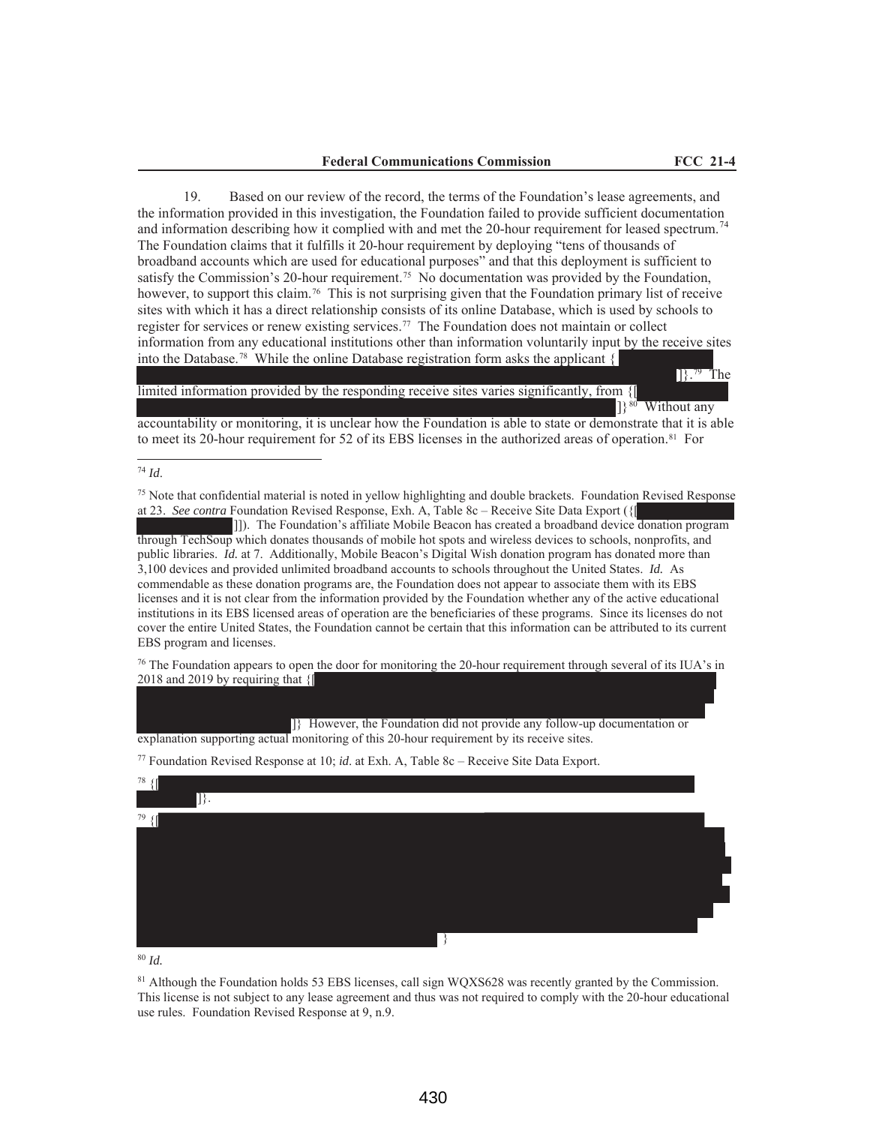19. Based on our review of the record, the terms of the Foundation's lease agreements, and the information provided in this investigation, the Foundation failed to provide sufficient documentation and information describing how it complied with and met the 20-hour requirement for leased spectrum.<sup>74</sup> The Foundation claims that it fulfills it 20-hour requirement by deploying "tens of thousands of broadband accounts which are used for educational purposes" and that this deployment is sufficient to satisfy the Commission's 20-hour requirement.<sup>75</sup> No documentation was provided by the Foundation, however, to support this claim.<sup>76</sup> This is not surprising given that the Foundation primary list of receive sites with which it has a direct relationship consists of its online Database, which is used by schools to register for services or renew existing services.77 The Foundation does not maintain or collect information from any educational institutions other than information voluntarily input by the receive sites into the Database.<sup>78</sup> While the online Database registration form asks the applicant  $\{$ 

### limited information provided by the responding receive sites varies significantly, from {[

]}<sup>80</sup> Without any

]}.79 The

accountability or monitoring, it is unclear how the Foundation is able to state or demonstrate that it is able to meet its 20-hour requirement for 52 of its EBS licenses in the authorized areas of operation.<sup>81</sup> For

<sup>74</sup> *Id*.

<sup>75</sup> Note that confidential material is noted in yellow highlighting and double brackets. Foundation Revised Response at 23. *See contra* Foundation Revised Response, Exh. A, Table 8c – Receive Site Data Export ({[

]]). The Foundation's affiliate Mobile Beacon has created a broadband device donation program through TechSoup which donates thousands of mobile hot spots and wireless devices to schools, nonprofits, and public libraries. *Id.* at 7. Additionally, Mobile Beacon's Digital Wish donation program has donated more than 3,100 devices and provided unlimited broadband accounts to schools throughout the United States. *Id.* As commendable as these donation programs are, the Foundation does not appear to associate them with its EBS licenses and it is not clear from the information provided by the Foundation whether any of the active educational institutions in its EBS licensed areas of operation are the beneficiaries of these programs. Since its licenses do not cover the entire United States, the Foundation cannot be certain that this information can be attributed to its current EBS program and licenses.

 $76$  The Foundation appears to open the door for monitoring the 20-hour requirement through several of its IUA's in 2018 and 2019 by requiring that {[

]} However, the Foundation did not provide any follow-up documentation or explanation supporting actual monitoring of this 20-hour requirement by its receive sites.

<sup>77</sup> Foundation Revised Response at 10; *id*. at Exh. A, Table 8c – Receive Site Data Export.



<sup>81</sup> Although the Foundation holds 53 EBS licenses, call sign WOXS628 was recently granted by the Commission. This license is not subject to any lease agreement and thus was not required to comply with the 20-hour educational use rules. Foundation Revised Response at 9, n.9.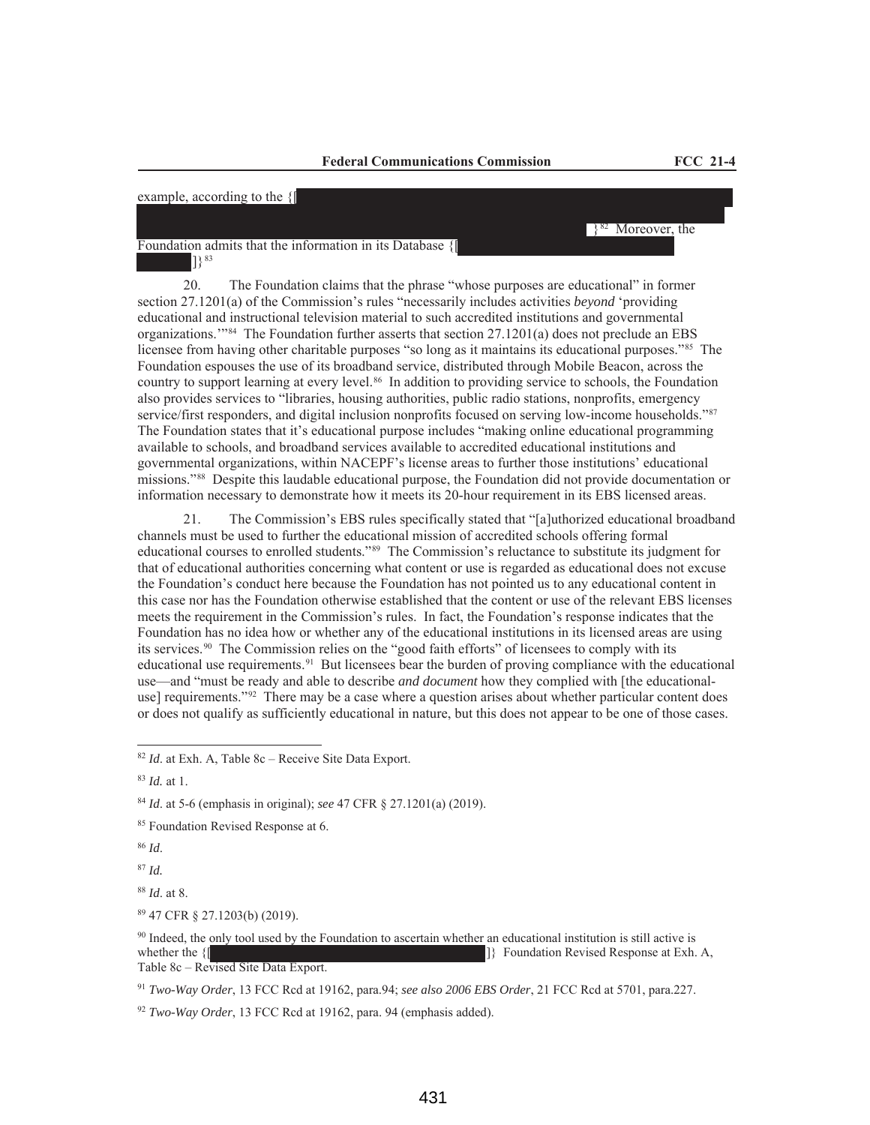## example, according to the {[

Foundation admits that the information in its Database {[ ]}83

20. The Foundation claims that the phrase "whose purposes are educational" in former section 27.1201(a) of the Commission's rules "necessarily includes activities *beyond* 'providing educational and instructional television material to such accredited institutions and governmental organizations.'"84 The Foundation further asserts that section 27.1201(a) does not preclude an EBS licensee from having other charitable purposes "so long as it maintains its educational purposes."85 The Foundation espouses the use of its broadband service, distributed through Mobile Beacon, across the country to support learning at every level.<sup>86</sup> In addition to providing service to schools, the Foundation also provides services to "libraries, housing authorities, public radio stations, nonprofits, emergency service/first responders, and digital inclusion nonprofits focused on serving low-income households."87 The Foundation states that it's educational purpose includes "making online educational programming available to schools, and broadband services available to accredited educational institutions and governmental organizations, within NACEPF's license areas to further those institutions' educational missions."88 Despite this laudable educational purpose, the Foundation did not provide documentation or information necessary to demonstrate how it meets its 20-hour requirement in its EBS licensed areas.

21. The Commission's EBS rules specifically stated that "[a]uthorized educational broadband channels must be used to further the educational mission of accredited schools offering formal educational courses to enrolled students."89 The Commission's reluctance to substitute its judgment for that of educational authorities concerning what content or use is regarded as educational does not excuse the Foundation's conduct here because the Foundation has not pointed us to any educational content in this case nor has the Foundation otherwise established that the content or use of the relevant EBS licenses meets the requirement in the Commission's rules. In fact, the Foundation's response indicates that the Foundation has no idea how or whether any of the educational institutions in its licensed areas are using its services.90 The Commission relies on the "good faith efforts" of licensees to comply with its educational use requirements.91 But licensees bear the burden of proving compliance with the educational use—and "must be ready and able to describe *and document* how they complied with [the educationaluse] requirements."92 There may be a case where a question arises about whether particular content does or does not qualify as sufficiently educational in nature, but this does not appear to be one of those cases.

<sup>86</sup> *Id*.

<sup>87</sup> *Id.*

<sup>91</sup> *Two-Way Order*, 13 FCC Rcd at 19162, para.94; *see also 2006 EBS Order*, 21 FCC Rcd at 5701, para.227.

 $\}$ <sup>82</sup> Moreover, the

<sup>82</sup> *Id*. at Exh. A, Table 8c – Receive Site Data Export.

<sup>83</sup> *Id.* at 1.

<sup>84</sup> *Id*. at 5-6 (emphasis in original); *see* 47 CFR § 27.1201(a) (2019).

<sup>&</sup>lt;sup>85</sup> Foundation Revised Response at 6.

<sup>88</sup> *Id*. at 8.

<sup>89</sup> 47 CFR § 27.1203(b) (2019).

<sup>&</sup>lt;sup>90</sup> Indeed, the only tool used by the Foundation to ascertain whether an educational institution is still active is whether the  ${]}$  Foundation Revised Response at Exh. A, Table 8c – Revised Site Data Export.

<sup>92</sup> *Two-Way Order*, 13 FCC Rcd at 19162, para. 94 (emphasis added).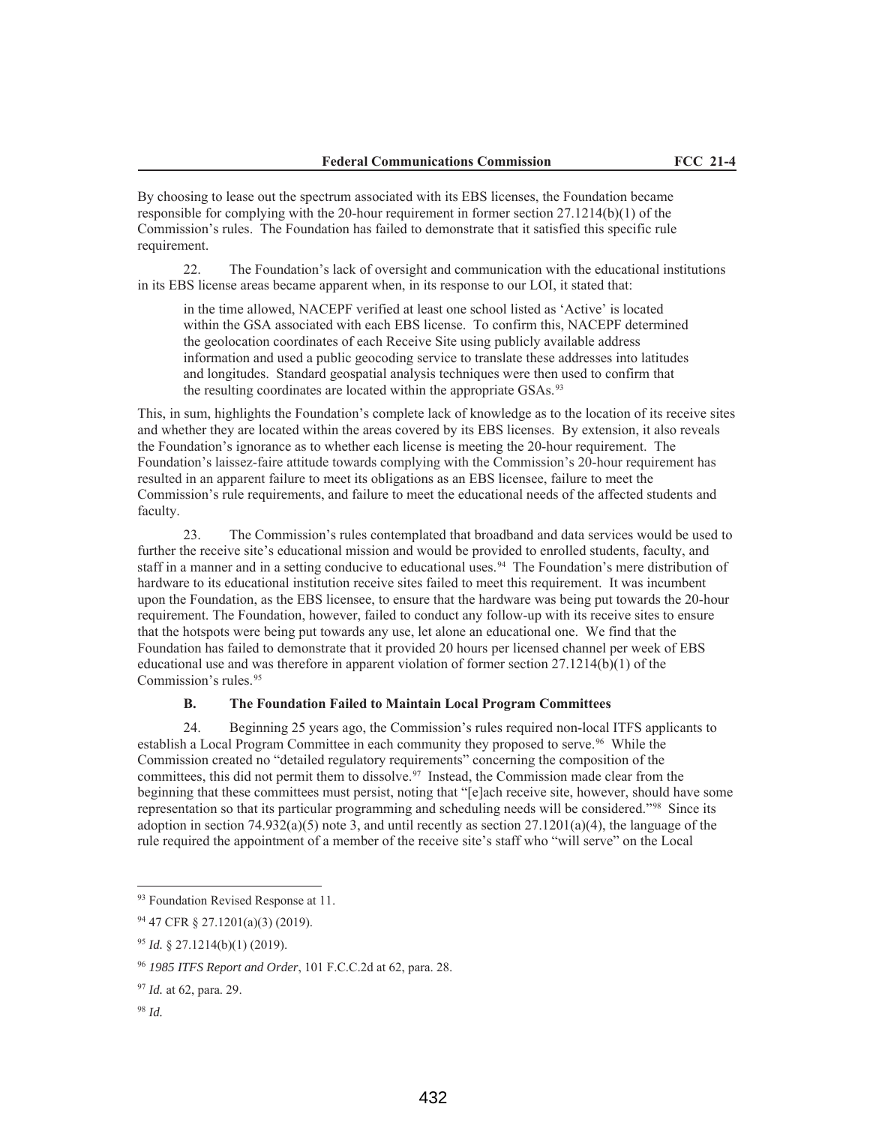By choosing to lease out the spectrum associated with its EBS licenses, the Foundation became responsible for complying with the 20-hour requirement in former section  $27.1214(b)(1)$  of the Commission's rules. The Foundation has failed to demonstrate that it satisfied this specific rule requirement.

22. The Foundation's lack of oversight and communication with the educational institutions in its EBS license areas became apparent when, in its response to our LOI, it stated that:

in the time allowed, NACEPF verified at least one school listed as 'Active' is located within the GSA associated with each EBS license. To confirm this, NACEPF determined the geolocation coordinates of each Receive Site using publicly available address information and used a public geocoding service to translate these addresses into latitudes and longitudes. Standard geospatial analysis techniques were then used to confirm that the resulting coordinates are located within the appropriate GSAs.<sup>93</sup>

This, in sum, highlights the Foundation's complete lack of knowledge as to the location of its receive sites and whether they are located within the areas covered by its EBS licenses. By extension, it also reveals the Foundation's ignorance as to whether each license is meeting the 20-hour requirement. The Foundation's laissez-faire attitude towards complying with the Commission's 20-hour requirement has resulted in an apparent failure to meet its obligations as an EBS licensee, failure to meet the Commission's rule requirements, and failure to meet the educational needs of the affected students and faculty.

23. The Commission's rules contemplated that broadband and data services would be used to further the receive site's educational mission and would be provided to enrolled students, faculty, and staff in a manner and in a setting conducive to educational uses.<sup>94</sup> The Foundation's mere distribution of hardware to its educational institution receive sites failed to meet this requirement. It was incumbent upon the Foundation, as the EBS licensee, to ensure that the hardware was being put towards the 20-hour requirement. The Foundation, however, failed to conduct any follow-up with its receive sites to ensure that the hotspots were being put towards any use, let alone an educational one. We find that the Foundation has failed to demonstrate that it provided 20 hours per licensed channel per week of EBS educational use and was therefore in apparent violation of former section  $27.1214(b)(1)$  of the Commission's rules.<sup>95</sup>

## **B. The Foundation Failed to Maintain Local Program Committees**

24. Beginning 25 years ago, the Commission's rules required non-local ITFS applicants to establish a Local Program Committee in each community they proposed to serve.<sup>96</sup> While the Commission created no "detailed regulatory requirements" concerning the composition of the committees, this did not permit them to dissolve.<sup>97</sup> Instead, the Commission made clear from the beginning that these committees must persist, noting that "[e]ach receive site, however, should have some representation so that its particular programming and scheduling needs will be considered."98 Since its adoption in section  $74.932(a)(5)$  note 3, and until recently as section  $27.1201(a)(4)$ , the language of the rule required the appointment of a member of the receive site's staff who "will serve" on the Local

<sup>98</sup> *Id.*

<sup>&</sup>lt;sup>93</sup> Foundation Revised Response at 11.

<sup>94</sup> 47 CFR § 27.1201(a)(3) (2019).

<sup>95</sup> *Id.* § 27.1214(b)(1) (2019).

<sup>96</sup> *1985 ITFS Report and Order*, 101 F.C.C.2d at 62, para. 28.

<sup>97</sup> *Id.* at 62, para. 29.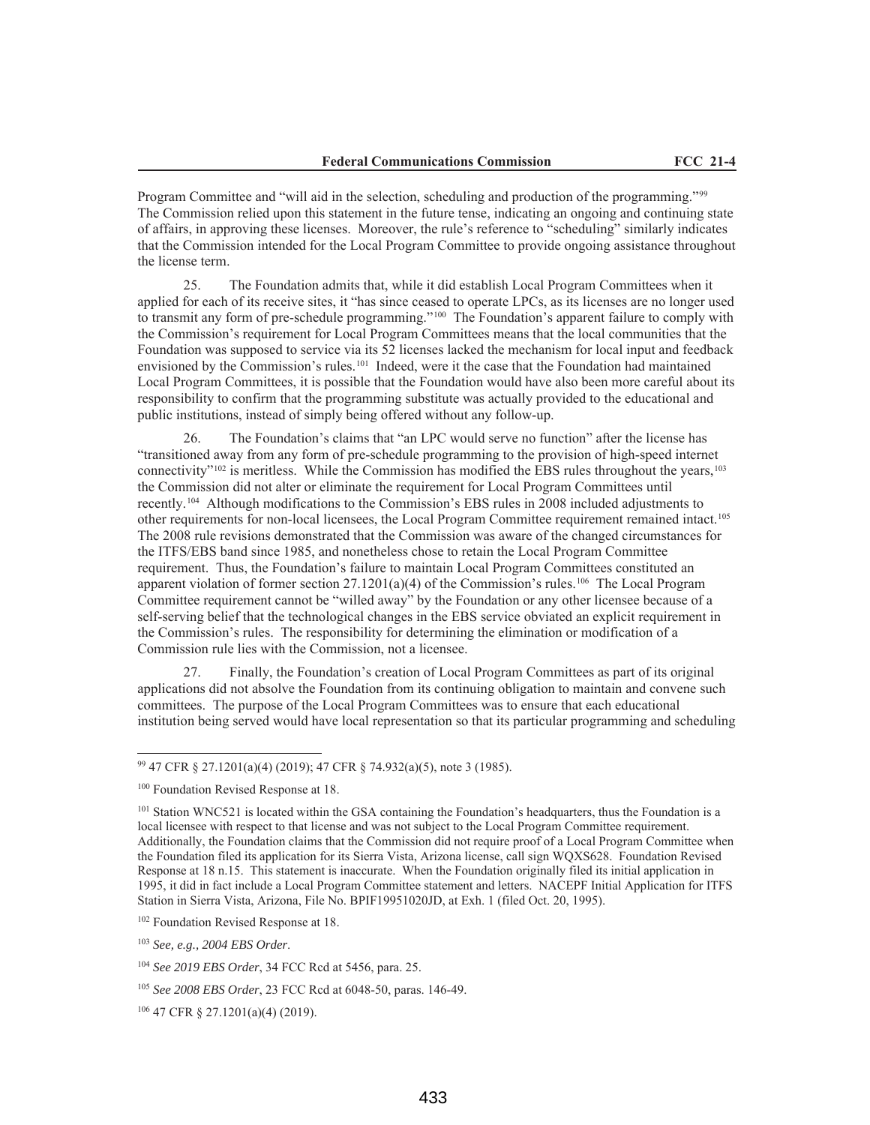Program Committee and "will aid in the selection, scheduling and production of the programming."99 The Commission relied upon this statement in the future tense, indicating an ongoing and continuing state of affairs, in approving these licenses. Moreover, the rule's reference to "scheduling" similarly indicates that the Commission intended for the Local Program Committee to provide ongoing assistance throughout the license term.

25. The Foundation admits that, while it did establish Local Program Committees when it applied for each of its receive sites, it "has since ceased to operate LPCs, as its licenses are no longer used to transmit any form of pre-schedule programming."100 The Foundation's apparent failure to comply with the Commission's requirement for Local Program Committees means that the local communities that the Foundation was supposed to service via its 52 licenses lacked the mechanism for local input and feedback envisioned by the Commission's rules.101 Indeed, were it the case that the Foundation had maintained Local Program Committees, it is possible that the Foundation would have also been more careful about its responsibility to confirm that the programming substitute was actually provided to the educational and public institutions, instead of simply being offered without any follow-up.

26. The Foundation's claims that "an LPC would serve no function" after the license has "transitioned away from any form of pre-schedule programming to the provision of high-speed internet connectivity" $102$  is meritless. While the Commission has modified the EBS rules throughout the years,  $103$ the Commission did not alter or eliminate the requirement for Local Program Committees until recently.104 Although modifications to the Commission's EBS rules in 2008 included adjustments to other requirements for non-local licensees, the Local Program Committee requirement remained intact.105 The 2008 rule revisions demonstrated that the Commission was aware of the changed circumstances for the ITFS/EBS band since 1985, and nonetheless chose to retain the Local Program Committee requirement. Thus, the Foundation's failure to maintain Local Program Committees constituted an apparent violation of former section  $27.1201(a)(4)$  of the Commission's rules.<sup>106</sup> The Local Program Committee requirement cannot be "willed away" by the Foundation or any other licensee because of a self-serving belief that the technological changes in the EBS service obviated an explicit requirement in the Commission's rules. The responsibility for determining the elimination or modification of a Commission rule lies with the Commission, not a licensee.

27. Finally, the Foundation's creation of Local Program Committees as part of its original applications did not absolve the Foundation from its continuing obligation to maintain and convene such committees. The purpose of the Local Program Committees was to ensure that each educational institution being served would have local representation so that its particular programming and scheduling

<sup>99</sup> 47 CFR § 27.1201(a)(4) (2019); 47 CFR § 74.932(a)(5), note 3 (1985).

<sup>&</sup>lt;sup>100</sup> Foundation Revised Response at 18.

<sup>&</sup>lt;sup>101</sup> Station WNC521 is located within the GSA containing the Foundation's headquarters, thus the Foundation is a local licensee with respect to that license and was not subject to the Local Program Committee requirement. Additionally, the Foundation claims that the Commission did not require proof of a Local Program Committee when the Foundation filed its application for its Sierra Vista, Arizona license, call sign WQXS628. Foundation Revised Response at 18 n.15. This statement is inaccurate. When the Foundation originally filed its initial application in 1995, it did in fact include a Local Program Committee statement and letters. NACEPF Initial Application for ITFS Station in Sierra Vista, Arizona, File No. BPIF19951020JD, at Exh. 1 (filed Oct. 20, 1995).

<sup>&</sup>lt;sup>102</sup> Foundation Revised Response at 18.

<sup>103</sup> *See, e.g., 2004 EBS Order*.

<sup>104</sup> *See 2019 EBS Order*, 34 FCC Rcd at 5456, para. 25.

<sup>105</sup> *See 2008 EBS Order*, 23 FCC Rcd at 6048-50, paras. 146-49.

<sup>106</sup> 47 CFR § 27.1201(a)(4) (2019).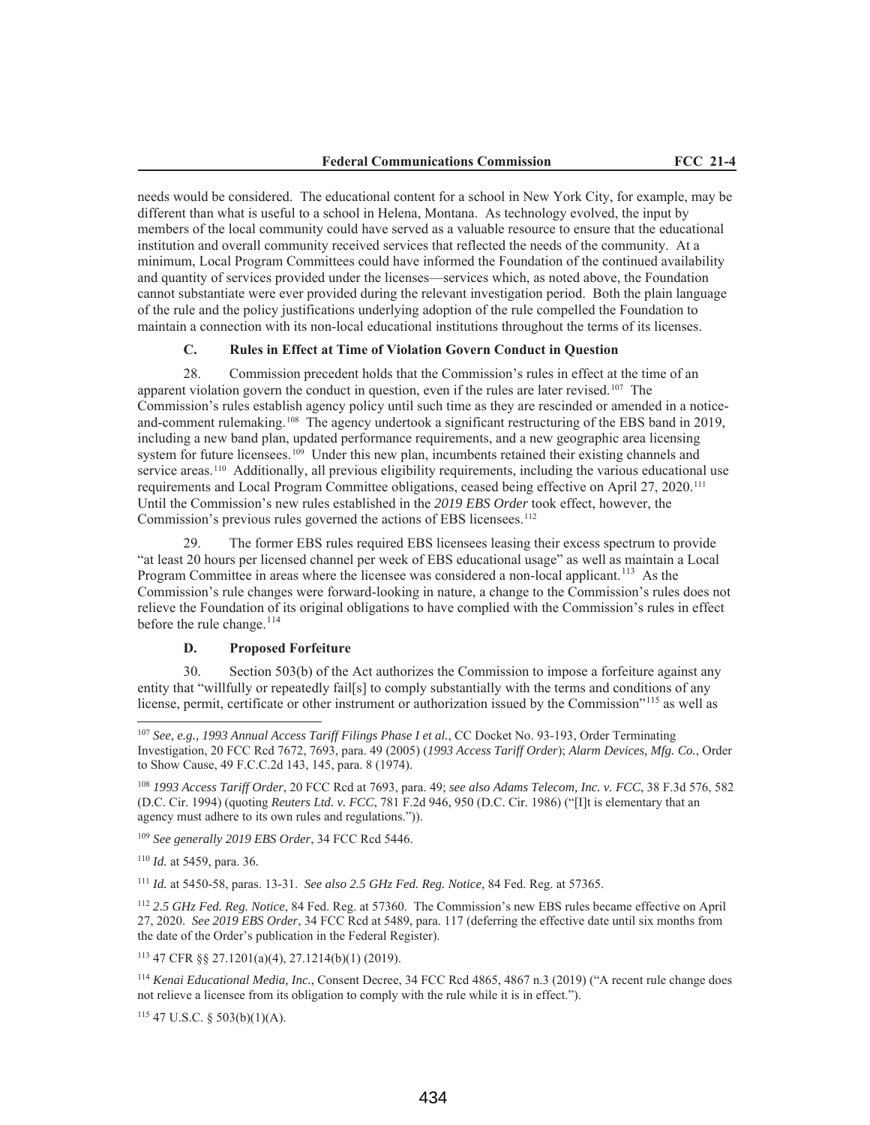needs would be considered. The educational content for a school in New York City, for example, may be different than what is useful to a school in Helena, Montana. As technology evolved, the input by members of the local community could have served as a valuable resource to ensure that the educational institution and overall community received services that reflected the needs of the community. At a minimum, Local Program Committees could have informed the Foundation of the continued availability and quantity of services provided under the licenses—services which, as noted above, the Foundation cannot substantiate were ever provided during the relevant investigation period. Both the plain language of the rule and the policy justifications underlying adoption of the rule compelled the Foundation to maintain a connection with its non-local educational institutions throughout the terms of its licenses.

### **C. Rules in Effect at Time of Violation Govern Conduct in Question**

28. Commission precedent holds that the Commission's rules in effect at the time of an apparent violation govern the conduct in question, even if the rules are later revised.107 The Commission's rules establish agency policy until such time as they are rescinded or amended in a noticeand-comment rulemaking.108 The agency undertook a significant restructuring of the EBS band in 2019, including a new band plan, updated performance requirements, and a new geographic area licensing system for future licensees.<sup>109</sup> Under this new plan, incumbents retained their existing channels and service areas.<sup>110</sup> Additionally, all previous eligibility requirements, including the various educational use requirements and Local Program Committee obligations, ceased being effective on April 27, 2020.111 Until the Commission's new rules established in the *2019 EBS Order* took effect, however, the Commission's previous rules governed the actions of EBS licensees.<sup>112</sup>

29. The former EBS rules required EBS licensees leasing their excess spectrum to provide "at least 20 hours per licensed channel per week of EBS educational usage" as well as maintain a Local Program Committee in areas where the licensee was considered a non-local applicant.<sup>113</sup> As the Commission's rule changes were forward-looking in nature, a change to the Commission's rules does not relieve the Foundation of its original obligations to have complied with the Commission's rules in effect before the rule change. $^{114}$ 

#### **D. Proposed Forfeiture**

30. Section 503(b) of the Act authorizes the Commission to impose a forfeiture against any entity that "willfully or repeatedly fail[s] to comply substantially with the terms and conditions of any license, permit, certificate or other instrument or authorization issued by the Commission"<sup>115</sup> as well as

<sup>109</sup> *See generally 2019 EBS Order*, 34 FCC Rcd 5446.

<sup>110</sup> *Id.* at 5459, para. 36*.*

<sup>111</sup> *Id.* at 5450-58, paras. 13-31. *See also 2.5 GHz Fed. Reg. Notice,* 84 Fed. Reg. at 57365.

<sup>112</sup> *2.5 GHz Fed. Reg. Notice*, 84 Fed. Reg. at 57360. The Commission's new EBS rules became effective on April 27, 2020. *See 2019 EBS Order*, 34 FCC Rcd at 5489, para. 117 (deferring the effective date until six months from the date of the Order's publication in the Federal Register).

<sup>113</sup> 47 CFR §§ 27.1201(a)(4), 27.1214(b)(1) (2019).

<sup>114</sup> *Kenai Educational Media, Inc.*, Consent Decree, 34 FCC Rcd 4865, 4867 n.3 (2019) ("A recent rule change does not relieve a licensee from its obligation to comply with the rule while it is in effect.").

<sup>115</sup> 47 U.S.C. § 503(b)(1)(A).

<sup>107</sup> *See, e.g., 1993 Annual Access Tariff Filings Phase I et al.*, CC Docket No. 93-193, Order Terminating Investigation, 20 FCC Rcd 7672, 7693, para. 49 (2005) (*1993 Access Tariff Order*); *Alarm Devices, Mfg. Co.*, Order to Show Cause, 49 F.C.C.2d 143, 145, para. 8 (1974).

<sup>108</sup> *1993 Access Tariff Order*, 20 FCC Rcd at 7693, para. 49; *see also Adams Telecom, Inc. v. FCC*, 38 F.3d 576, 582 (D.C. Cir. 1994) (quoting *Reuters Ltd. v. FCC*, 781 F.2d 946, 950 (D.C. Cir. 1986) ("[I]t is elementary that an agency must adhere to its own rules and regulations.")).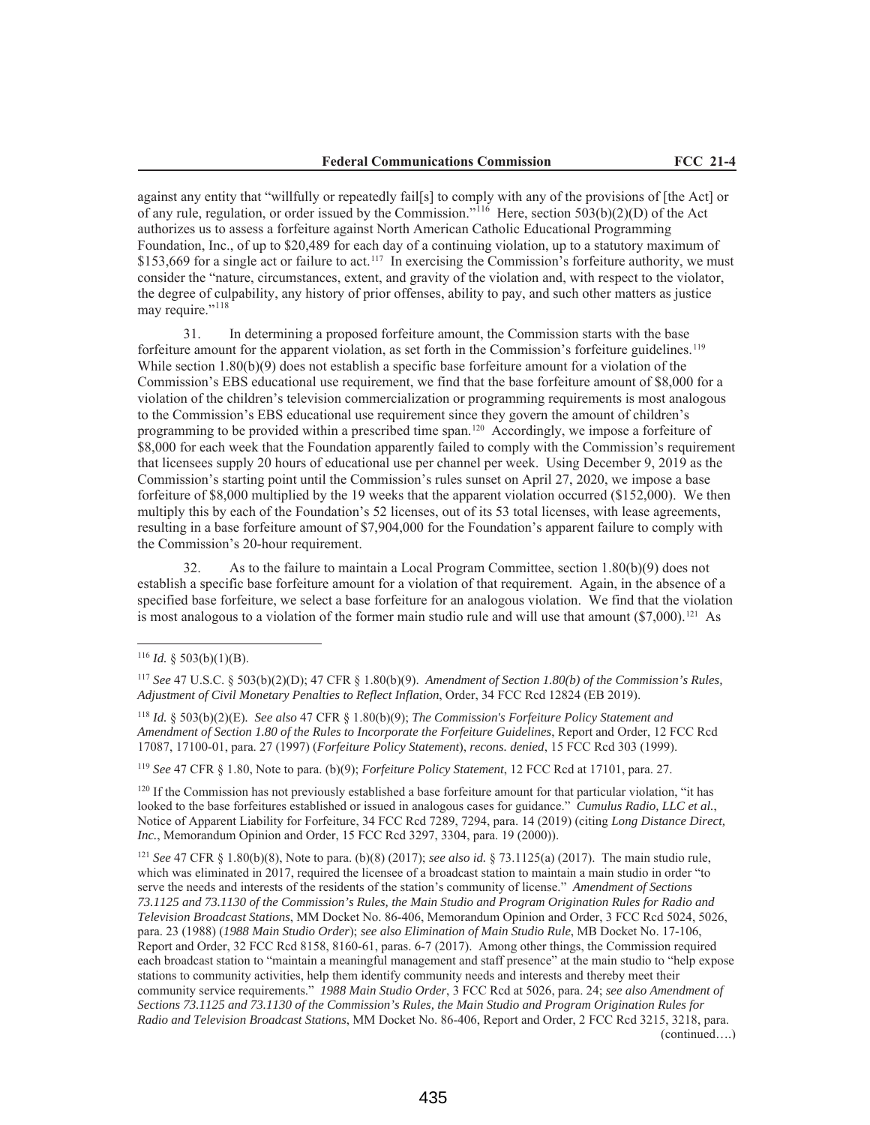against any entity that "willfully or repeatedly fail[s] to comply with any of the provisions of [the Act] or of any rule, regulation, or order issued by the Commission."<sup>116</sup> Here, section 503(b)(2)(D) of the Act authorizes us to assess a forfeiture against North American Catholic Educational Programming Foundation, Inc., of up to \$20,489 for each day of a continuing violation, up to a statutory maximum of \$153,669 for a single act or failure to act.<sup>117</sup> In exercising the Commission's forfeiture authority, we must consider the "nature, circumstances, extent, and gravity of the violation and, with respect to the violator, the degree of culpability, any history of prior offenses, ability to pay, and such other matters as justice may require."<sup>118</sup>

31. In determining a proposed forfeiture amount, the Commission starts with the base forfeiture amount for the apparent violation, as set forth in the Commission's forfeiture guidelines.<sup>119</sup> While section 1.80(b)(9) does not establish a specific base forfeiture amount for a violation of the Commission's EBS educational use requirement, we find that the base forfeiture amount of \$8,000 for a violation of the children's television commercialization or programming requirements is most analogous to the Commission's EBS educational use requirement since they govern the amount of children's programming to be provided within a prescribed time span.120 Accordingly, we impose a forfeiture of \$8,000 for each week that the Foundation apparently failed to comply with the Commission's requirement that licensees supply 20 hours of educational use per channel per week. Using December 9, 2019 as the Commission's starting point until the Commission's rules sunset on April 27, 2020, we impose a base forfeiture of \$8,000 multiplied by the 19 weeks that the apparent violation occurred (\$152,000). We then multiply this by each of the Foundation's 52 licenses, out of its 53 total licenses, with lease agreements, resulting in a base forfeiture amount of \$7,904,000 for the Foundation's apparent failure to comply with the Commission's 20-hour requirement.

32. As to the failure to maintain a Local Program Committee, section 1.80(b)(9) does not establish a specific base forfeiture amount for a violation of that requirement. Again, in the absence of a specified base forfeiture, we select a base forfeiture for an analogous violation. We find that the violation is most analogous to a violation of the former main studio rule and will use that amount  $(\$7,000).^{121}$  As

<sup>119</sup> *See* 47 CFR § 1.80, Note to para. (b)(9); *Forfeiture Policy Statement*, 12 FCC Rcd at 17101, para. 27.

<sup>120</sup> If the Commission has not previously established a base forfeiture amount for that particular violation, "it has looked to the base forfeitures established or issued in analogous cases for guidance." *Cumulus Radio, LLC et al.*, Notice of Apparent Liability for Forfeiture, 34 FCC Rcd 7289, 7294, para. 14 (2019) (citing *Long Distance Direct, Inc.*, Memorandum Opinion and Order, 15 FCC Rcd 3297, 3304, para. 19 (2000)).

<sup>121</sup> *See* 47 CFR § 1.80(b)(8), Note to para. (b)(8) (2017); *see also id.* § 73.1125(a) (2017). The main studio rule, which was eliminated in 2017, required the licensee of a broadcast station to maintain a main studio in order "to serve the needs and interests of the residents of the station's community of license." *Amendment of Sections 73.1125 and 73.1130 of the Commission's Rules, the Main Studio and Program Origination Rules for Radio and Television Broadcast Stations*, MM Docket No. 86-406, Memorandum Opinion and Order, 3 FCC Rcd 5024, 5026, para. 23 (1988) (*1988 Main Studio Order*); *see also Elimination of Main Studio Rule*, MB Docket No. 17-106, Report and Order, 32 FCC Rcd 8158, 8160-61, paras. 6-7 (2017). Among other things, the Commission required each broadcast station to "maintain a meaningful management and staff presence" at the main studio to "help expose stations to community activities, help them identify community needs and interests and thereby meet their community service requirements." *1988 Main Studio Order*, 3 FCC Rcd at 5026, para. 24; *see also Amendment of Sections 73.1125 and 73.1130 of the Commission's Rules, the Main Studio and Program Origination Rules for Radio and Television Broadcast Stations*, MM Docket No. 86-406, Report and Order, 2 FCC Rcd 3215, 3218, para. (continued….)

<sup>&</sup>lt;sup>116</sup> *Id.* § 503(b)(1)(B).

<sup>117</sup> *See* 47 U.S.C. § 503(b)(2)(D); 47 CFR § 1.80(b)(9). *Amendment of Section 1.80(b) of the Commission's Rules, Adjustment of Civil Monetary Penalties to Reflect Inflation*, Order, 34 FCC Rcd 12824 (EB 2019).

<sup>118</sup> *Id.* § 503(b)(2)(E)*. See also* 47 CFR § 1.80(b)(9); *The Commission's Forfeiture Policy Statement and Amendment of Section 1.80 of the Rules to Incorporate the Forfeiture Guidelines*, Report and Order, 12 FCC Rcd 17087, 17100-01, para. 27 (1997) (*Forfeiture Policy Statement*), *recons. denied*, 15 FCC Rcd 303 (1999).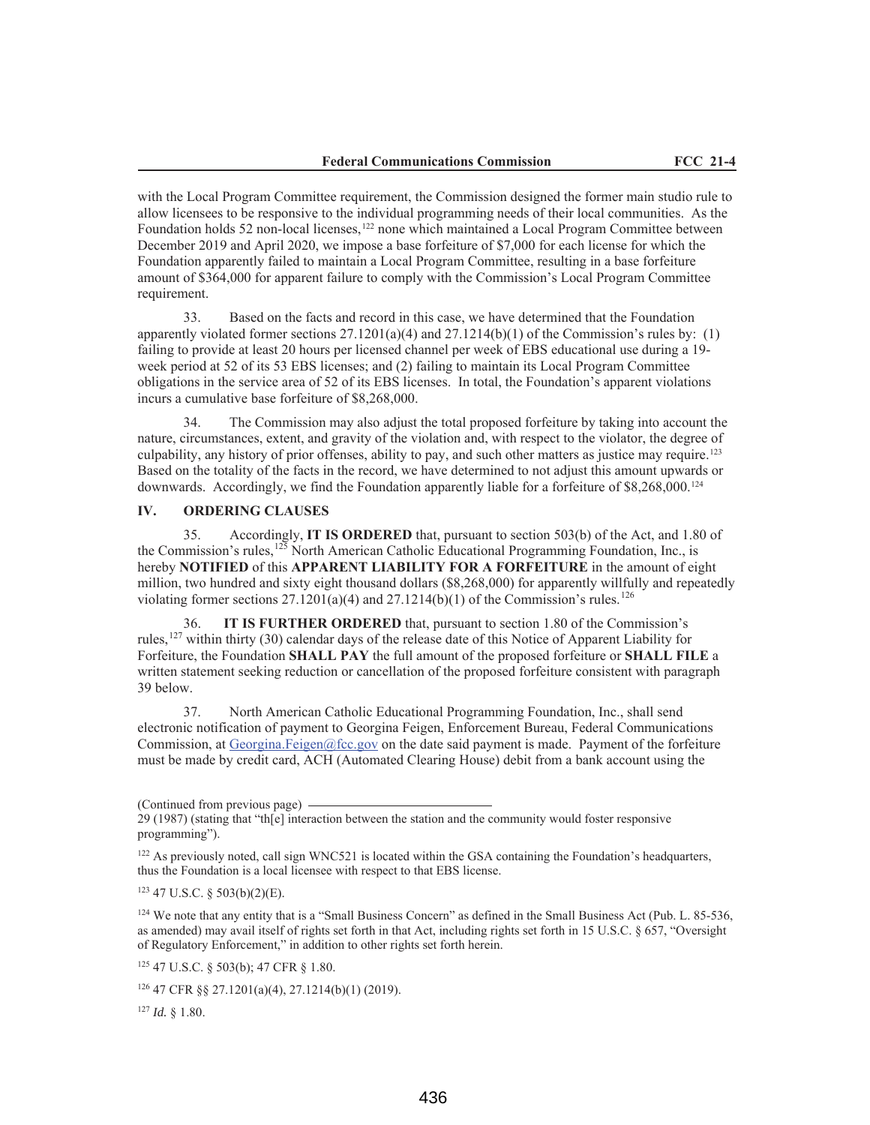with the Local Program Committee requirement, the Commission designed the former main studio rule to allow licensees to be responsive to the individual programming needs of their local communities. As the Foundation holds 52 non-local licenses,<sup>122</sup> none which maintained a Local Program Committee between December 2019 and April 2020, we impose a base forfeiture of \$7,000 for each license for which the Foundation apparently failed to maintain a Local Program Committee, resulting in a base forfeiture amount of \$364,000 for apparent failure to comply with the Commission's Local Program Committee requirement.

33. Based on the facts and record in this case, we have determined that the Foundation apparently violated former sections  $27.1201(a)(4)$  and  $27.1214(b)(1)$  of the Commission's rules by: (1) failing to provide at least 20 hours per licensed channel per week of EBS educational use during a 19 week period at 52 of its 53 EBS licenses; and (2) failing to maintain its Local Program Committee obligations in the service area of 52 of its EBS licenses. In total, the Foundation's apparent violations incurs a cumulative base forfeiture of \$8,268,000.

34. The Commission may also adjust the total proposed forfeiture by taking into account the nature, circumstances, extent, and gravity of the violation and, with respect to the violator, the degree of culpability, any history of prior offenses, ability to pay, and such other matters as justice may require.123 Based on the totality of the facts in the record, we have determined to not adjust this amount upwards or downwards. Accordingly, we find the Foundation apparently liable for a forfeiture of \$8,268,000.124

### **IV. ORDERING CLAUSES**

35. Accordingly, **IT IS ORDERED** that, pursuant to section 503(b) of the Act, and 1.80 of the Commission's rules, $125$  North American Catholic Educational Programming Foundation, Inc., is hereby **NOTIFIED** of this **APPARENT LIABILITY FOR A FORFEITURE** in the amount of eight million, two hundred and sixty eight thousand dollars (\$8,268,000) for apparently willfully and repeatedly violating former sections  $27.1201(a)(4)$  and  $27.1214(b)(1)$  of the Commission's rules.<sup>126</sup>

36. **IT IS FURTHER ORDERED** that, pursuant to section 1.80 of the Commission's rules,<sup>127</sup> within thirty (30) calendar days of the release date of this Notice of Apparent Liability for Forfeiture, the Foundation **SHALL PAY** the full amount of the proposed forfeiture or **SHALL FILE** a written statement seeking reduction or cancellation of the proposed forfeiture consistent with paragraph 39 below.

37. North American Catholic Educational Programming Foundation, Inc., shall send electronic notification of payment to Georgina Feigen, Enforcement Bureau, Federal Communications Commission, at Georgina.Feigen@fcc.gov on the date said payment is made. Payment of the forfeiture must be made by credit card, ACH (Automated Clearing House) debit from a bank account using the

 $123$  47 U.S.C. § 503(b)(2)(E).

<sup>124</sup> We note that any entity that is a "Small Business Concern" as defined in the Small Business Act (Pub. L. 85-536, as amended) may avail itself of rights set forth in that Act, including rights set forth in 15 U.S.C. § 657, "Oversight of Regulatory Enforcement," in addition to other rights set forth herein.

<sup>125</sup> 47 U.S.C. § 503(b); 47 CFR § 1.80.

<sup>127</sup> *Id.* § 1.80.

<sup>(</sup>Continued from previous page)

<sup>29 (1987) (</sup>stating that "th[e] interaction between the station and the community would foster responsive programming").

<sup>&</sup>lt;sup>122</sup> As previously noted, call sign WNC521 is located within the GSA containing the Foundation's headquarters, thus the Foundation is a local licensee with respect to that EBS license.

<sup>126</sup> 47 CFR §§ 27.1201(a)(4), 27.1214(b)(1) (2019).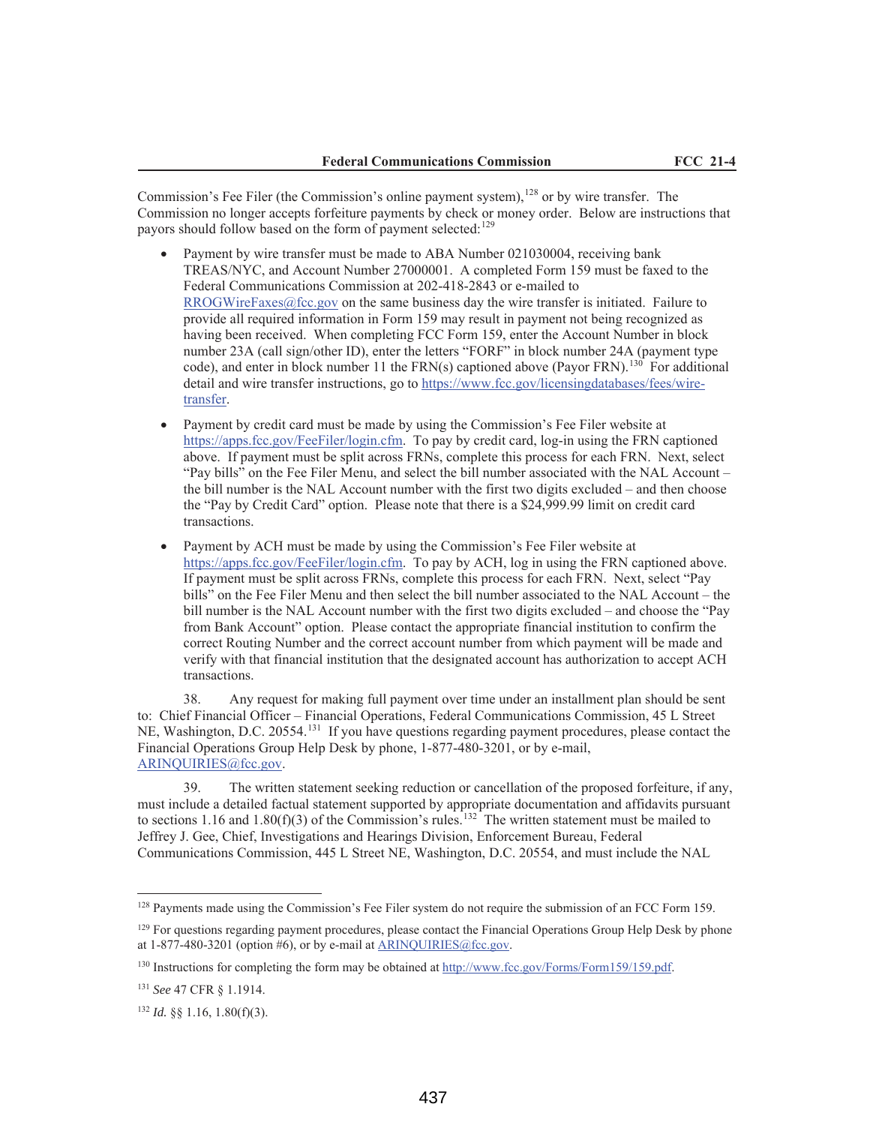Commission's Fee Filer (the Commission's online payment system), <sup>128</sup> or by wire transfer. The Commission no longer accepts forfeiture payments by check or money order. Below are instructions that payors should follow based on the form of payment selected:<sup>129</sup>

- Payment by wire transfer must be made to ABA Number 021030004, receiving bank TREAS/NYC, and Account Number 27000001. A completed Form 159 must be faxed to the Federal Communications Commission at 202-418-2843 or e-mailed to RROGWireFaxes@fcc.gov on the same business day the wire transfer is initiated. Failure to provide all required information in Form 159 may result in payment not being recognized as having been received. When completing FCC Form 159, enter the Account Number in block number 23A (call sign/other ID), enter the letters "FORF" in block number 24A (payment type code), and enter in block number 11 the FRN(s) captioned above (Payor FRN).<sup>130</sup> For additional detail and wire transfer instructions, go to https://www.fcc.gov/licensingdatabases/fees/wiretransfer.
- Payment by credit card must be made by using the Commission's Fee Filer website at https://apps.fcc.gov/FeeFiler/login.cfm. To pay by credit card, log-in using the FRN captioned above. If payment must be split across FRNs, complete this process for each FRN. Next, select "Pay bills" on the Fee Filer Menu, and select the bill number associated with the NAL Account – the bill number is the NAL Account number with the first two digits excluded – and then choose the "Pay by Credit Card" option. Please note that there is a \$24,999.99 limit on credit card transactions.
- Payment by ACH must be made by using the Commission's Fee Filer website at https://apps.fcc.gov/FeeFiler/login.cfm. To pay by ACH, log in using the FRN captioned above. If payment must be split across FRNs, complete this process for each FRN. Next, select "Pay bills" on the Fee Filer Menu and then select the bill number associated to the NAL Account – the bill number is the NAL Account number with the first two digits excluded – and choose the "Pay from Bank Account" option. Please contact the appropriate financial institution to confirm the correct Routing Number and the correct account number from which payment will be made and verify with that financial institution that the designated account has authorization to accept ACH transactions.

38. Any request for making full payment over time under an installment plan should be sent to: Chief Financial Officer – Financial Operations, Federal Communications Commission, 45 L Street NE, Washington, D.C. 20554.<sup>131</sup> If you have questions regarding payment procedures, please contact the Financial Operations Group Help Desk by phone, 1-877-480-3201, or by e-mail, ARINQUIRIES@fcc.gov.

39. The written statement seeking reduction or cancellation of the proposed forfeiture, if any, must include a detailed factual statement supported by appropriate documentation and affidavits pursuant to sections 1.16 and 1.80(f)(3) of the Commission's rules.<sup>132</sup> The written statement must be mailed to Jeffrey J. Gee, Chief, Investigations and Hearings Division, Enforcement Bureau, Federal Communications Commission, 445 L Street NE, Washington, D.C. 20554, and must include the NAL

<sup>&</sup>lt;sup>128</sup> Payments made using the Commission's Fee Filer system do not require the submission of an FCC Form 159.

<sup>&</sup>lt;sup>129</sup> For questions regarding payment procedures, please contact the Financial Operations Group Help Desk by phone at  $1-877-480-3201$  (option #6), or by e-mail at ARINQUIRIES@fcc.gov.

<sup>130</sup> Instructions for completing the form may be obtained at http://www.fcc.gov/Forms/Form159/159.pdf.

<sup>131</sup> *See* 47 CFR § 1.1914.

<sup>132</sup> *Id.* §§ 1.16, 1.80(f)(3).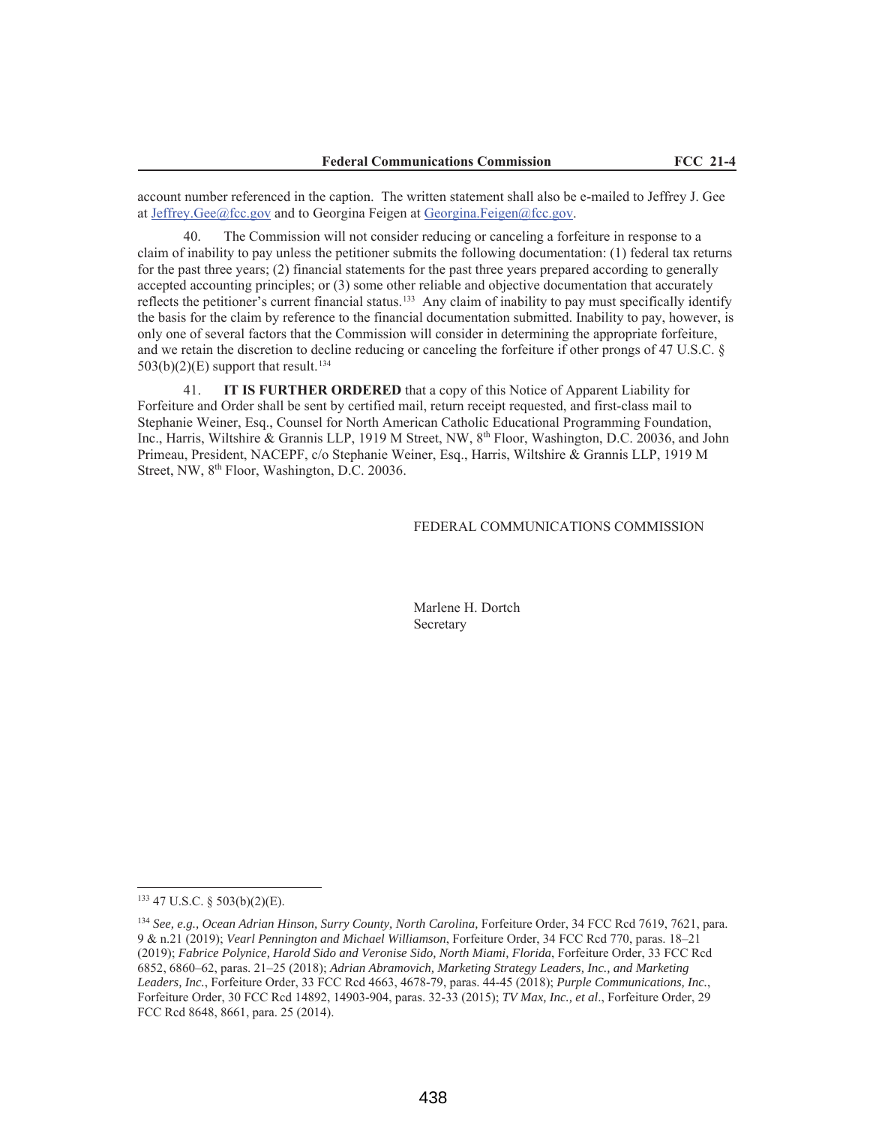account number referenced in the caption. The written statement shall also be e-mailed to Jeffrey J. Gee at Jeffrey.Gee@fcc.gov and to Georgina Feigen at Georgina.Feigen@fcc.gov.

The Commission will not consider reducing or canceling a forfeiture in response to a claim of inability to pay unless the petitioner submits the following documentation: (1) federal tax returns for the past three years; (2) financial statements for the past three years prepared according to generally accepted accounting principles; or (3) some other reliable and objective documentation that accurately reflects the petitioner's current financial status.<sup>133</sup> Any claim of inability to pay must specifically identify the basis for the claim by reference to the financial documentation submitted. Inability to pay, however, is only one of several factors that the Commission will consider in determining the appropriate forfeiture, and we retain the discretion to decline reducing or canceling the forfeiture if other prongs of 47 U.S.C. §  $503(b)(2)(E)$  support that result.<sup>134</sup>

41. **IT IS FURTHER ORDERED** that a copy of this Notice of Apparent Liability for Forfeiture and Order shall be sent by certified mail, return receipt requested, and first-class mail to Stephanie Weiner, Esq., Counsel for North American Catholic Educational Programming Foundation, Inc., Harris, Wiltshire & Grannis LLP, 1919 M Street, NW, 8<sup>th</sup> Floor, Washington, D.C. 20036, and John Primeau, President, NACEPF, c/o Stephanie Weiner, Esq., Harris, Wiltshire & Grannis LLP, 1919 M Street, NW, 8<sup>th</sup> Floor, Washington, D.C. 20036.

### FEDERAL COMMUNICATIONS COMMISSION

Marlene H. Dortch Secretary

<sup>133</sup> 47 U.S.C. § 503(b)(2)(E).

<sup>&</sup>lt;sup>134</sup> *See, e.g., Ocean Adrian Hinson, Surry County, North Carolina, Forfeiture Order, 34 FCC Rcd 7619, 7621, para.* 9 & n.21 (2019); *Vearl Pennington and Michael Williamson*, Forfeiture Order, 34 FCC Rcd 770, paras. 18–21 (2019); *Fabrice Polynice, Harold Sido and Veronise Sido, North Miami, Florida*, Forfeiture Order, 33 FCC Rcd 6852, 6860–62, paras. 21–25 (2018); *Adrian Abramovich, Marketing Strategy Leaders, Inc., and Marketing Leaders, Inc.*, Forfeiture Order, 33 FCC Rcd 4663, 4678-79, paras. 44-45 (2018); *Purple Communications, Inc.*, Forfeiture Order, 30 FCC Rcd 14892, 14903-904, paras. 32-33 (2015); *TV Max, Inc., et al*., Forfeiture Order, 29 FCC Rcd 8648, 8661, para. 25 (2014).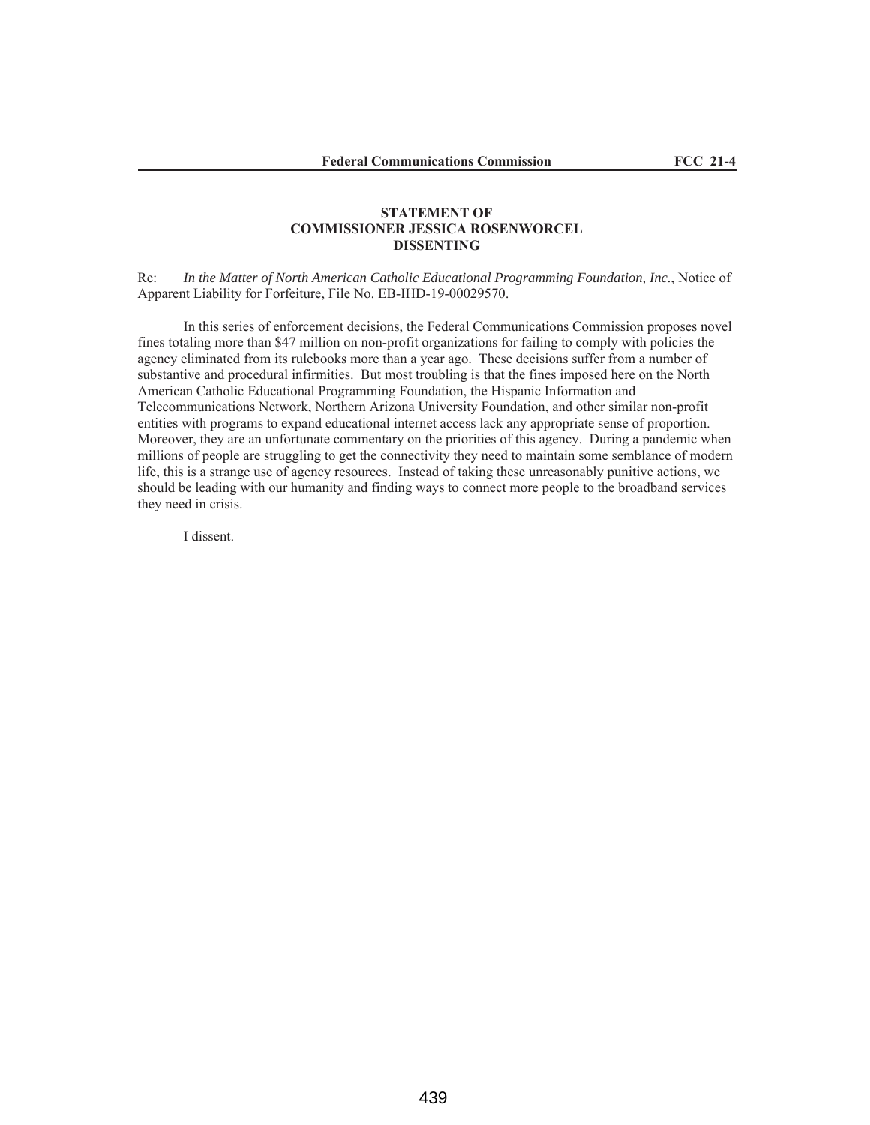## **STATEMENT OF COMMISSIONER JESSICA ROSENWORCEL DISSENTING**

Re: *In the Matter of North American Catholic Educational Programming Foundation, Inc.*, Notice of Apparent Liability for Forfeiture, File No. EB-IHD-19-00029570.

In this series of enforcement decisions, the Federal Communications Commission proposes novel fines totaling more than \$47 million on non-profit organizations for failing to comply with policies the agency eliminated from its rulebooks more than a year ago. These decisions suffer from a number of substantive and procedural infirmities. But most troubling is that the fines imposed here on the North American Catholic Educational Programming Foundation, the Hispanic Information and Telecommunications Network, Northern Arizona University Foundation, and other similar non-profit entities with programs to expand educational internet access lack any appropriate sense of proportion. Moreover, they are an unfortunate commentary on the priorities of this agency. During a pandemic when millions of people are struggling to get the connectivity they need to maintain some semblance of modern life, this is a strange use of agency resources. Instead of taking these unreasonably punitive actions, we should be leading with our humanity and finding ways to connect more people to the broadband services they need in crisis.

I dissent.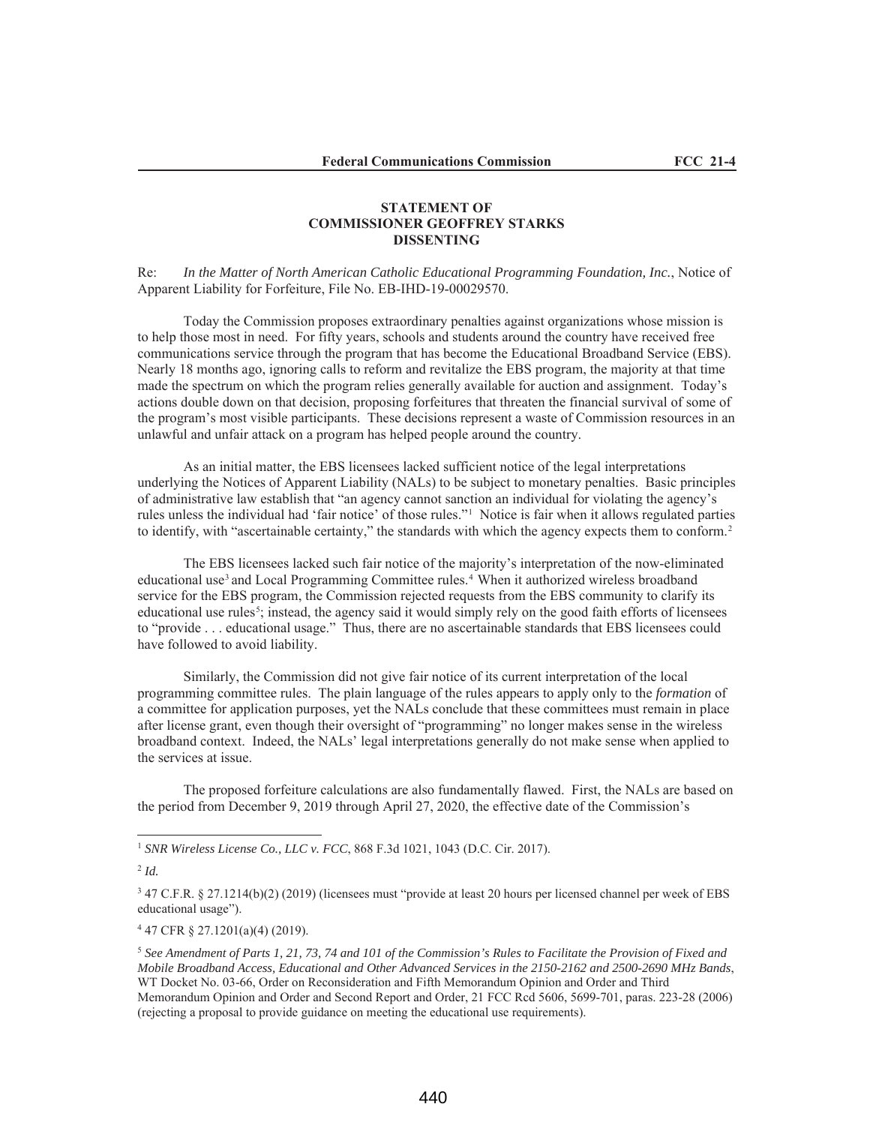## **STATEMENT OF COMMISSIONER GEOFFREY STARKS DISSENTING**

Re: *In the Matter of North American Catholic Educational Programming Foundation, Inc.*, Notice of Apparent Liability for Forfeiture, File No. EB-IHD-19-00029570.

Today the Commission proposes extraordinary penalties against organizations whose mission is to help those most in need. For fifty years, schools and students around the country have received free communications service through the program that has become the Educational Broadband Service (EBS). Nearly 18 months ago, ignoring calls to reform and revitalize the EBS program, the majority at that time made the spectrum on which the program relies generally available for auction and assignment. Today's actions double down on that decision, proposing forfeitures that threaten the financial survival of some of the program's most visible participants. These decisions represent a waste of Commission resources in an unlawful and unfair attack on a program has helped people around the country.

As an initial matter, the EBS licensees lacked sufficient notice of the legal interpretations underlying the Notices of Apparent Liability (NALs) to be subject to monetary penalties. Basic principles of administrative law establish that "an agency cannot sanction an individual for violating the agency's rules unless the individual had 'fair notice' of those rules."1 Notice is fair when it allows regulated parties to identify, with "ascertainable certainty," the standards with which the agency expects them to conform.<sup>2</sup>

The EBS licensees lacked such fair notice of the majority's interpretation of the now-eliminated educational use<sup>3</sup> and Local Programming Committee rules.<sup>4</sup> When it authorized wireless broadband service for the EBS program, the Commission rejected requests from the EBS community to clarify its educational use rules<sup>5</sup>; instead, the agency said it would simply rely on the good faith efforts of licensees to "provide . . . educational usage." Thus, there are no ascertainable standards that EBS licensees could have followed to avoid liability.

Similarly, the Commission did not give fair notice of its current interpretation of the local programming committee rules. The plain language of the rules appears to apply only to the *formation* of a committee for application purposes, yet the NALs conclude that these committees must remain in place after license grant, even though their oversight of "programming" no longer makes sense in the wireless broadband context. Indeed, the NALs' legal interpretations generally do not make sense when applied to the services at issue.

The proposed forfeiture calculations are also fundamentally flawed. First, the NALs are based on the period from December 9, 2019 through April 27, 2020, the effective date of the Commission's

<sup>4</sup> 47 CFR § 27.1201(a)(4) (2019).

<sup>1</sup> *SNR Wireless License Co., LLC v. FCC*, 868 F.3d 1021, 1043 (D.C. Cir. 2017).

<sup>2</sup> *Id.*

<sup>3</sup> 47 C.F.R. § 27.1214(b)(2) (2019) (licensees must "provide at least 20 hours per licensed channel per week of EBS educational usage").

<sup>5</sup> *See Amendment of Parts 1, 21, 73, 74 and 101 of the Commission's Rules to Facilitate the Provision of Fixed and Mobile Broadband Access, Educational and Other Advanced Services in the 2150-2162 and 2500-2690 MHz Bands*, WT Docket No. 03-66, Order on Reconsideration and Fifth Memorandum Opinion and Order and Third Memorandum Opinion and Order and Second Report and Order, 21 FCC Rcd 5606, 5699-701, paras. 223-28 (2006) (rejecting a proposal to provide guidance on meeting the educational use requirements).